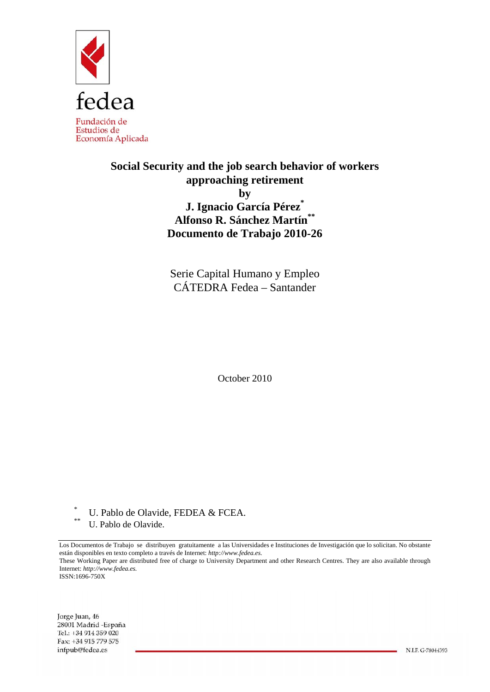

# **Social Security and the job search behavior of workers approaching retirement by J. Ignacio García Pérez\* Alfonso R. Sánchez Martín\*\* Documento de Trabajo 2010-26**

Serie Capital Humano y Empleo CÁTEDRA Fedea – Santander

October 2010

\* U. Pablo de Olavide, FEDEA & FCEA.

U. Pablo de Olavide.

Los Documentos de Trabajo se distribuyen gratuitamente a las Universidades e Instituciones de Investigación que lo solicitan. No obstante están disponibles en texto completo a través de Internet: *http://www.fedea.es.*  These Working Paper are distributed free of charge to University Department and other Research Centres. They are also available through Internet: *http://www.fedea.es.* ISSN:1696-750X

Jorge Juan, 46 28001 Madrid - España Tel.: +34 914 359 020 Fax: +34 915 779 575 infpub@fedea.es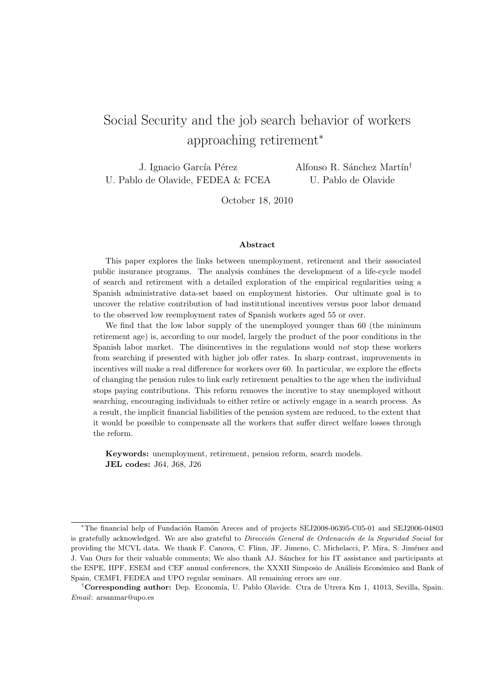# Social Security and the job search behavior of workers approaching retirement<sup>∗</sup>

J. Ignacio García Pérez U. Pablo de Olavide, FEDEA & FCEA Alfonso R. Sánchez Martín<sup>†</sup> U. Pablo de Olavide

October 18, 2010

#### Abstract

This paper explores the links between unemployment, retirement and their associated public insurance programs. The analysis combines the development of a life-cycle model of search and retirement with a detailed exploration of the empirical regularities using a Spanish administrative data-set based on employment histories. Our ultimate goal is to uncover the relative contribution of bad institutional incentives versus poor labor demand to the observed low reemployment rates of Spanish workers aged 55 or over.

We find that the low labor supply of the unemployed younger than 60 (the minimum retirement age) is, according to our model, largely the product of the poor conditions in the Spanish labor market. The disincentives in the regulations would not stop these workers from searching if presented with higher job offer rates. In sharp contrast, improvements in incentives will make a real difference for workers over 60. In particular, we explore the effects of changing the pension rules to link early retirement penalties to the age when the individual stops paying contributions. This reform removes the incentive to stay unemployed without searching, encouraging individuals to either retire or actively engage in a search process. As a result, the implicit financial liabilities of the pension system are reduced, to the extent that it would be possible to compensate all the workers that suffer direct welfare losses through the reform.

Keywords: unemployment, retirement, pension reform, search models. JEL codes: J64, J68, J26

<sup>\*</sup>The financial help of Fundación Ramón Areces and of projects SEJ2008-06395-C05-01 and SEJ2006-04803 is gratefully acknowledged. We are also grateful to Dirección General de Ordenación de la Seguridad Social for providing the MCVL data. We thank F. Canova, C. Flinn, JF. Jimeno, C. Michelacci, P. Mira, S. Jiménez and J. Van Ours for their valuable comments; We also thank AJ. S´anchez for his IT assistance and participants at the ESPE, IIPF, ESEM and CEF annual conferences, the XXXII Simposio de Análisis Económico and Bank of Spain, CEMFI, FEDEA and UPO regular seminars. All remaining errors are our.

<sup>&</sup>lt;sup>†</sup>Corresponding author: Dep. Economía, U. Pablo Olavide. Ctra de Utrera Km 1, 41013, Sevilla, Spain. Email: arsanmar@upo.es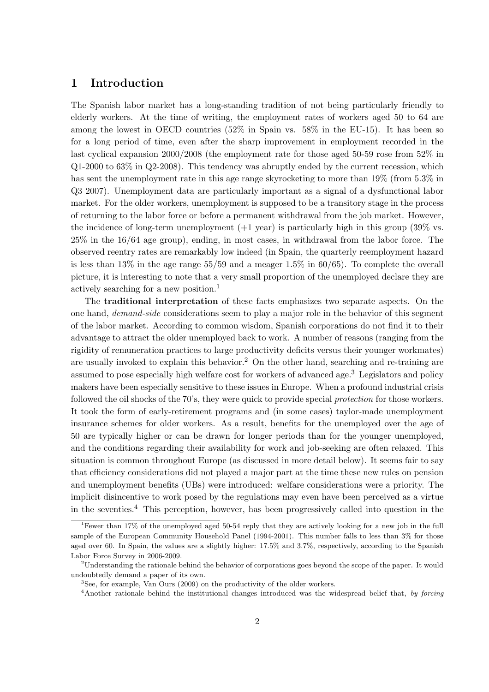# 1 Introduction

The Spanish labor market has a long-standing tradition of not being particularly friendly to elderly workers. At the time of writing, the employment rates of workers aged 50 to 64 are among the lowest in OECD countries (52% in Spain vs. 58% in the EU-15). It has been so for a long period of time, even after the sharp improvement in employment recorded in the last cyclical expansion 2000/2008 (the employment rate for those aged 50-59 rose from 52% in Q1-2000 to 63% in Q2-2008). This tendency was abruptly ended by the current recession, which has sent the unemployment rate in this age range skyrocketing to more than 19% (from 5.3% in Q3 2007). Unemployment data are particularly important as a signal of a dysfunctional labor market. For the older workers, unemployment is supposed to be a transitory stage in the process of returning to the labor force or before a permanent withdrawal from the job market. However, the incidence of long-term unemployment  $(+1 \text{ year})$  is particularly high in this group  $(39\% \text{ vs.})$ 25% in the 16/64 age group), ending, in most cases, in withdrawal from the labor force. The observed reentry rates are remarkably low indeed (in Spain, the quarterly reemployment hazard is less than  $13\%$  in the age range  $55/59$  and a meager  $1.5\%$  in 60/65). To complete the overall picture, it is interesting to note that a very small proportion of the unemployed declare they are actively searching for a new position.<sup>1</sup>

The traditional interpretation of these facts emphasizes two separate aspects. On the one hand, demand-side considerations seem to play a major role in the behavior of this segment of the labor market. According to common wisdom, Spanish corporations do not find it to their advantage to attract the older unemployed back to work. A number of reasons (ranging from the rigidity of remuneration practices to large productivity deficits versus their younger workmates) are usually invoked to explain this behavior.<sup>2</sup> On the other hand, searching and re-training are assumed to pose especially high welfare cost for workers of advanced age.<sup>3</sup> Legislators and policy makers have been especially sensitive to these issues in Europe. When a profound industrial crisis followed the oil shocks of the 70's, they were quick to provide special protection for those workers. It took the form of early-retirement programs and (in some cases) taylor-made unemployment insurance schemes for older workers. As a result, benefits for the unemployed over the age of 50 are typically higher or can be drawn for longer periods than for the younger unemployed, and the conditions regarding their availability for work and job-seeking are often relaxed. This situation is common throughout Europe (as discussed in more detail below). It seems fair to say that efficiency considerations did not played a major part at the time these new rules on pension and unemployment benefits (UBs) were introduced: welfare considerations were a priority. The implicit disincentive to work posed by the regulations may even have been perceived as a virtue in the seventies.<sup>4</sup> This perception, however, has been progressively called into question in the

<sup>&</sup>lt;sup>1</sup>Fewer than 17% of the unemployed aged 50-54 reply that they are actively looking for a new job in the full sample of the European Community Household Panel (1994-2001). This number falls to less than 3% for those aged over 60. In Spain, the values are a slightly higher: 17.5% and 3.7%, respectively, according to the Spanish Labor Force Survey in 2006-2009.

<sup>2</sup>Understanding the rationale behind the behavior of corporations goes beyond the scope of the paper. It would undoubtedly demand a paper of its own.

<sup>3</sup>See, for example, Van Ours (2009) on the productivity of the older workers.

<sup>&</sup>lt;sup>4</sup>Another rationale behind the institutional changes introduced was the widespread belief that, by forcing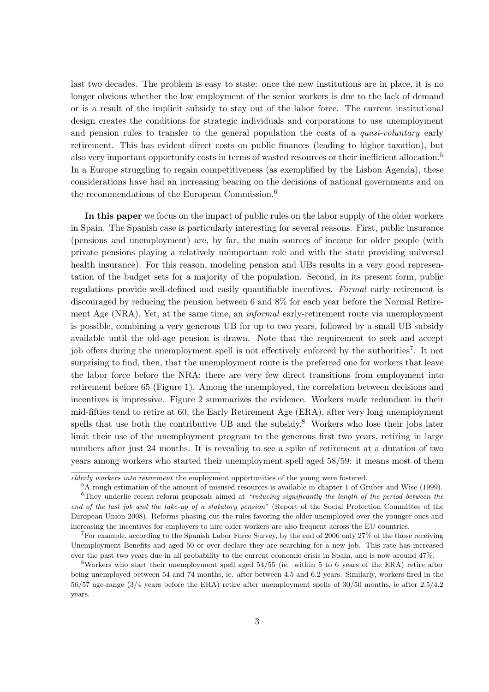last two decades. The problem is easy to state: once the new institutions are in place, it is no longer obvious whether the low employment of the senior workers is due to the lack of demand or is a result of the implicit subsidy to stay out of the labor force. The current institutional design creates the conditions for strategic individuals and corporations to use unemployment and pension rules to transfer to the general population the costs of a *quasi-voluntary* early retirement. This has evident direct costs on public finances (leading to higher taxation), but also very important opportunity costs in terms of wasted resources or their inefficient allocation.<sup>5</sup> In a Europe struggling to regain competitiveness (as exemplified by the Lisbon Agenda), these considerations have had an increasing bearing on the decisions of national governments and on the recommendations of the European Commission.<sup>6</sup>

In this paper we focus on the impact of public rules on the labor supply of the older workers in Spain. The Spanish case is particularly interesting for several reasons. First, public insurance (pensions and unemployment) are, by far, the main sources of income for older people (with private pensions playing a relatively unimportant role and with the state providing universal health insurance). For this reason, modeling pension and UBs results in a very good representation of the budget sets for a majority of the population. Second, in its present form, public regulations provide well-defined and easily quantifiable incentives. Formal early retirement is discouraged by reducing the pension between 6 and 8% for each year before the Normal Retirement Age (NRA). Yet, at the same time, an informal early-retirement route via unemployment is possible, combining a very generous UB for up to two years, followed by a small UB subsidy available until the old-age pension is drawn. Note that the requirement to seek and accept job offers during the unemployment spell is not effectively enforced by the authorities<sup>7</sup>. It not surprising to find, then, that the unemployment route is the preferred one for workers that leave the labor force before the NRA: there are very few direct transitions from employment into retirement before 65 (Figure 1). Among the unemployed, the correlation between decisions and incentives is impressive. Figure 2 summarizes the evidence. Workers made redundant in their mid-fifties tend to retire at 60, the Early Retirement Age (ERA), after very long unemployment spells that use both the contributive UB and the subsidy.<sup>8</sup> Workers who lose their jobs later limit their use of the unemployment program to the generous first two years, retiring in large numbers after just 24 months. It is revealing to see a spike of retirement at a duration of two years among workers who started their unemployment spell aged 58/59: it means most of them

elderly workers into retirement the employment opportunities of the young were fostered.

<sup>&</sup>lt;sup>5</sup>A rough estimation of the amount of misused resources is available in chapter 1 of Gruber and Wise (1999).  $6$ They underlie recent reform proposals aimed at "reducing significantly the length of the period between the end of the last job and the take-up of a statutory pension" (Report of the Social Protection Committee of the European Union 2008). Reforms phasing out the rules favoring the older unemployed over the younger ones and increasing the incentives for employers to hire older workers are also frequent across the EU countries.

<sup>7</sup>For example, according to the Spanish Labor Force Survey, by the end of 2006 only 27% of the those receiving Unemployment Benefits and aged 50 or over declare they are searching for a new job. This rate has increased over the past two years due in all probability to the current economic crisis in Spain, and is now around 47%.

<sup>8</sup>Workers who start their unemployment spell aged 54/55 (ie. within 5 to 6 years of the ERA) retire after being unemployed between 54 and 74 months, ie. after between 4.5 and 6.2 years. Similarly, workers fired in the 56/57 age-range (3/4 years before the ERA) retire after unemployment spells of 30/50 months, ie after 2.5/4.2 years.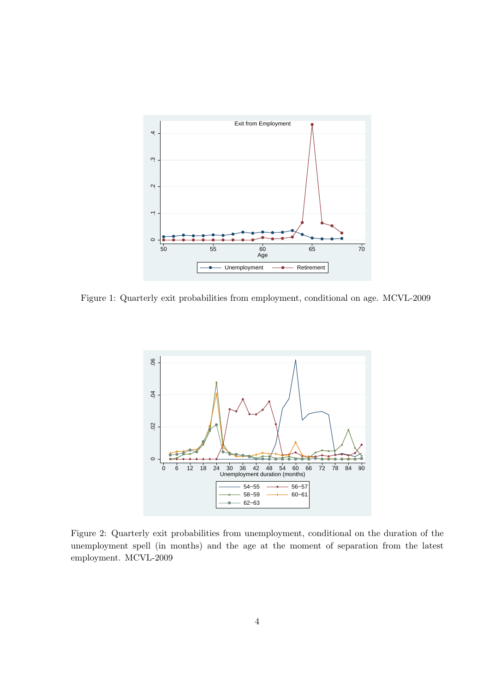

Figure 1: Quarterly exit probabilities from employment, conditional on age. MCVL-2009



Figure 2: Quarterly exit probabilities from unemployment, conditional on the duration of the unemployment spell (in months) and the age at the moment of separation from the latest employment. MCVL-2009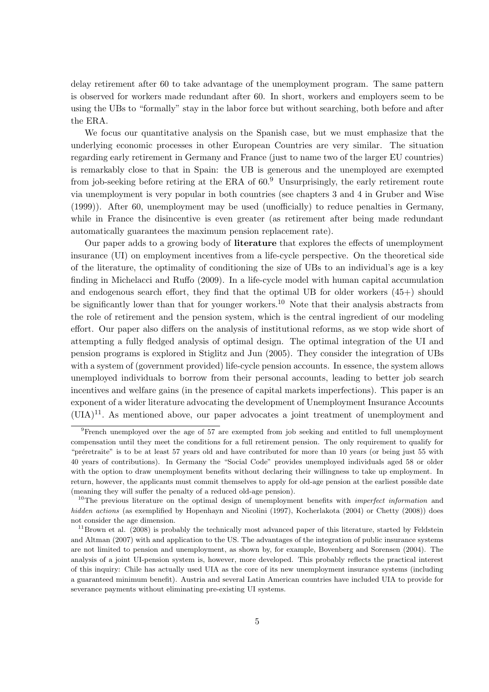delay retirement after 60 to take advantage of the unemployment program. The same pattern is observed for workers made redundant after 60. In short, workers and employers seem to be using the UBs to "formally" stay in the labor force but without searching, both before and after the ERA.

We focus our quantitative analysis on the Spanish case, but we must emphasize that the underlying economic processes in other European Countries are very similar. The situation regarding early retirement in Germany and France (just to name two of the larger EU countries) is remarkably close to that in Spain: the UB is generous and the unemployed are exempted from job-seeking before retiring at the ERA of  $60<sup>9</sup>$  Unsurprisingly, the early retirement route via unemployment is very popular in both countries (see chapters 3 and 4 in Gruber and Wise (1999)). After 60, unemployment may be used (unofficially) to reduce penalties in Germany, while in France the disincentive is even greater (as retirement after being made redundant automatically guarantees the maximum pension replacement rate).

Our paper adds to a growing body of literature that explores the effects of unemployment insurance (UI) on employment incentives from a life-cycle perspective. On the theoretical side of the literature, the optimality of conditioning the size of UBs to an individual's age is a key finding in Michelacci and Ruffo (2009). In a life-cycle model with human capital accumulation and endogenous search effort, they find that the optimal UB for older workers (45+) should be significantly lower than that for younger workers.<sup>10</sup> Note that their analysis abstracts from the role of retirement and the pension system, which is the central ingredient of our modeling effort. Our paper also differs on the analysis of institutional reforms, as we stop wide short of attempting a fully fledged analysis of optimal design. The optimal integration of the UI and pension programs is explored in Stiglitz and Jun (2005). They consider the integration of UBs with a system of (government provided) life-cycle pension accounts. In essence, the system allows unemployed individuals to borrow from their personal accounts, leading to better job search incentives and welfare gains (in the presence of capital markets imperfections). This paper is an exponent of a wider literature advocating the development of Unemployment Insurance Accounts  $(UIA)^{11}$ . As mentioned above, our paper advocates a joint treatment of unemployment and

<sup>&</sup>lt;sup>9</sup>French unemployed over the age of 57 are exempted from job seeking and entitled to full unemployment compensation until they meet the conditions for a full retirement pension. The only requirement to qualify for "préretraite" is to be at least 57 years old and have contributed for more than 10 years (or being just 55 with 40 years of contributions). In Germany the "Social Code" provides unemployed individuals aged 58 or older with the option to draw unemployment benefits without declaring their willingness to take up employment. In return, however, the applicants must commit themselves to apply for old-age pension at the earliest possible date (meaning they will suffer the penalty of a reduced old-age pension).

<sup>&</sup>lt;sup>10</sup>The previous literature on the optimal design of unemployment benefits with *imperfect information* and hidden actions (as exemplified by Hopenhayn and Nicolini (1997), Kocherlakota (2004) or Chetty (2008)) does not consider the age dimension.

 $11$ Brown et al. (2008) is probably the technically most advanced paper of this literature, started by Feldstein and Altman (2007) with and application to the US. The advantages of the integration of public insurance systems are not limited to pension and unemployment, as shown by, for example, Bovenberg and Sorensen (2004). The analysis of a joint UI-pension system is, however, more developed. This probably reflects the practical interest of this inquiry: Chile has actually used UIA as the core of its new unemployment insurance systems (including a guaranteed minimum benefit). Austria and several Latin American countries have included UIA to provide for severance payments without eliminating pre-existing UI systems.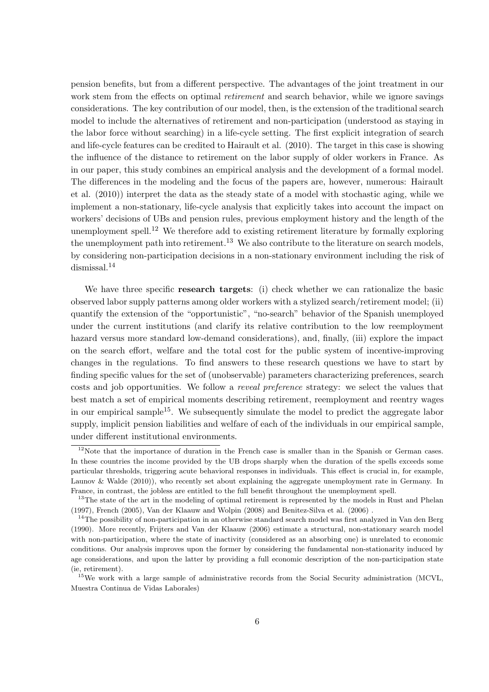pension benefits, but from a different perspective. The advantages of the joint treatment in our work stem from the effects on optimal *retirement* and search behavior, while we ignore savings considerations. The key contribution of our model, then, is the extension of the traditional search model to include the alternatives of retirement and non-participation (understood as staying in the labor force without searching) in a life-cycle setting. The first explicit integration of search and life-cycle features can be credited to Hairault et al. (2010). The target in this case is showing the influence of the distance to retirement on the labor supply of older workers in France. As in our paper, this study combines an empirical analysis and the development of a formal model. The differences in the modeling and the focus of the papers are, however, numerous: Hairault et al. (2010)) interpret the data as the steady state of a model with stochastic aging, while we implement a non-stationary, life-cycle analysis that explicitly takes into account the impact on workers' decisions of UBs and pension rules, previous employment history and the length of the unemployment spell.<sup>12</sup> We therefore add to existing retirement literature by formally exploring the unemployment path into retirement.<sup>13</sup> We also contribute to the literature on search models, by considering non-participation decisions in a non-stationary environment including the risk of dismissal.<sup>14</sup>

We have three specific **research targets**: (i) check whether we can rationalize the basic observed labor supply patterns among older workers with a stylized search/retirement model; (ii) quantify the extension of the "opportunistic", "no-search" behavior of the Spanish unemployed under the current institutions (and clarify its relative contribution to the low reemployment hazard versus more standard low-demand considerations), and, finally, (iii) explore the impact on the search effort, welfare and the total cost for the public system of incentive-improving changes in the regulations. To find answers to these research questions we have to start by finding specific values for the set of (unobservable) parameters characterizing preferences, search costs and job opportunities. We follow a reveal preference strategy: we select the values that best match a set of empirical moments describing retirement, reemployment and reentry wages in our empirical sample<sup>15</sup>. We subsequently simulate the model to predict the aggregate labor supply, implicit pension liabilities and welfare of each of the individuals in our empirical sample, under different institutional environments.

<sup>&</sup>lt;sup>12</sup>Note that the importance of duration in the French case is smaller than in the Spanish or German cases. In these countries the income provided by the UB drops sharply when the duration of the spells exceeds some particular thresholds, triggering acute behavioral responses in individuals. This effect is crucial in, for example, Launov & Walde (2010)), who recently set about explaining the aggregate unemployment rate in Germany. In France, in contrast, the jobless are entitled to the full benefit throughout the unemployment spell.

<sup>&</sup>lt;sup>13</sup>The state of the art in the modeling of optimal retirement is represented by the models in Rust and Phelan (1997), French (2005), Van der Klaauw and Wolpin (2008) and Benitez-Silva et al. (2006) .

 $14$ The possibility of non-participation in an otherwise standard search model was first analyzed in Van den Berg (1990). More recently, Frijters and Van der Klaauw (2006) estimate a structural, non-stationary search model with non-participation, where the state of inactivity (considered as an absorbing one) is unrelated to economic conditions. Our analysis improves upon the former by considering the fundamental non-stationarity induced by age considerations, and upon the latter by providing a full economic description of the non-participation state (ie, retirement).

<sup>&</sup>lt;sup>15</sup>We work with a large sample of administrative records from the Social Security administration (MCVL, Muestra Continua de Vidas Laborales)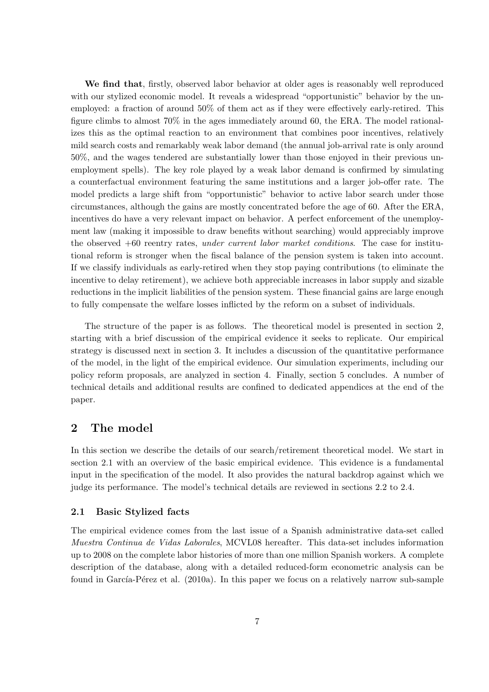We find that, firstly, observed labor behavior at older ages is reasonably well reproduced with our stylized economic model. It reveals a widespread "opportunistic" behavior by the unemployed: a fraction of around 50% of them act as if they were effectively early-retired. This figure climbs to almost 70% in the ages immediately around 60, the ERA. The model rationalizes this as the optimal reaction to an environment that combines poor incentives, relatively mild search costs and remarkably weak labor demand (the annual job-arrival rate is only around 50%, and the wages tendered are substantially lower than those enjoyed in their previous unemployment spells). The key role played by a weak labor demand is confirmed by simulating a counterfactual environment featuring the same institutions and a larger job-offer rate. The model predicts a large shift from "opportunistic" behavior to active labor search under those circumstances, although the gains are mostly concentrated before the age of 60. After the ERA, incentives do have a very relevant impact on behavior. A perfect enforcement of the unemployment law (making it impossible to draw benefits without searching) would appreciably improve the observed  $+60$  reentry rates, under current labor market conditions. The case for institutional reform is stronger when the fiscal balance of the pension system is taken into account. If we classify individuals as early-retired when they stop paying contributions (to eliminate the incentive to delay retirement), we achieve both appreciable increases in labor supply and sizable reductions in the implicit liabilities of the pension system. These financial gains are large enough to fully compensate the welfare losses inflicted by the reform on a subset of individuals.

The structure of the paper is as follows. The theoretical model is presented in section 2, starting with a brief discussion of the empirical evidence it seeks to replicate. Our empirical strategy is discussed next in section 3. It includes a discussion of the quantitative performance of the model, in the light of the empirical evidence. Our simulation experiments, including our policy reform proposals, are analyzed in section 4. Finally, section 5 concludes. A number of technical details and additional results are confined to dedicated appendices at the end of the paper.

# 2 The model

In this section we describe the details of our search/retirement theoretical model. We start in section 2.1 with an overview of the basic empirical evidence. This evidence is a fundamental input in the specification of the model. It also provides the natural backdrop against which we judge its performance. The model's technical details are reviewed in sections 2.2 to 2.4.

### 2.1 Basic Stylized facts

The empirical evidence comes from the last issue of a Spanish administrative data-set called Muestra Continua de Vidas Laborales, MCVL08 hereafter. This data-set includes information up to 2008 on the complete labor histories of more than one million Spanish workers. A complete description of the database, along with a detailed reduced-form econometric analysis can be found in García-Pérez et al. (2010a). In this paper we focus on a relatively narrow sub-sample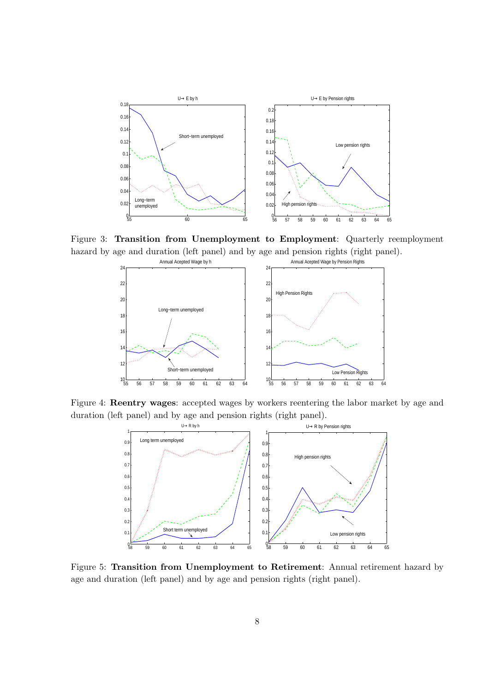

Figure 3: Transition from Unemployment to Employment: Quarterly reemployment hazard by age and duration (left panel) and by age and pension rights (right panel).



Figure 4: Reentry wages: accepted wages by workers reentering the labor market by age and duration (left panel) and by age and pension rights (right panel).



Figure 5: Transition from Unemployment to Retirement: Annual retirement hazard by age and duration (left panel) and by age and pension rights (right panel).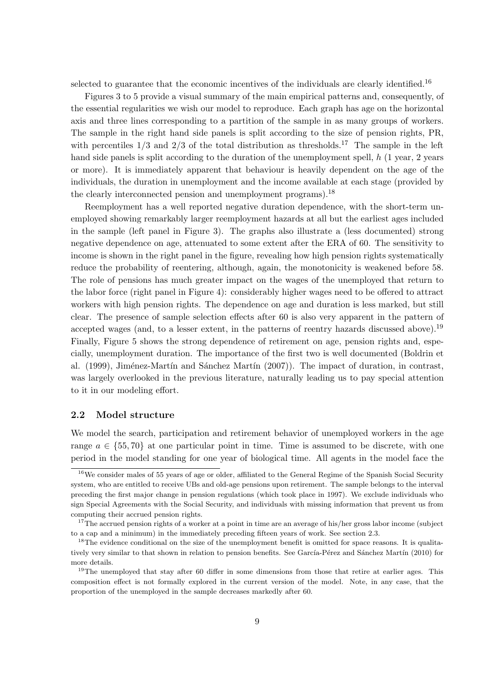selected to guarantee that the economic incentives of the individuals are clearly identified.<sup>16</sup>

Figures 3 to 5 provide a visual summary of the main empirical patterns and, consequently, of the essential regularities we wish our model to reproduce. Each graph has age on the horizontal axis and three lines corresponding to a partition of the sample in as many groups of workers. The sample in the right hand side panels is split according to the size of pension rights, PR, with percentiles  $1/3$  and  $2/3$  of the total distribution as thresholds.<sup>17</sup> The sample in the left hand side panels is split according to the duration of the unemployment spell, h (1 year, 2 years or more). It is immediately apparent that behaviour is heavily dependent on the age of the individuals, the duration in unemployment and the income available at each stage (provided by the clearly interconnected pension and unemployment programs).<sup>18</sup>

Reemployment has a well reported negative duration dependence, with the short-term unemployed showing remarkably larger reemployment hazards at all but the earliest ages included in the sample (left panel in Figure 3). The graphs also illustrate a (less documented) strong negative dependence on age, attenuated to some extent after the ERA of 60. The sensitivity to income is shown in the right panel in the figure, revealing how high pension rights systematically reduce the probability of reentering, although, again, the monotonicity is weakened before 58. The role of pensions has much greater impact on the wages of the unemployed that return to the labor force (right panel in Figure 4): considerably higher wages need to be offered to attract workers with high pension rights. The dependence on age and duration is less marked, but still clear. The presence of sample selection effects after 60 is also very apparent in the pattern of accepted wages (and, to a lesser extent, in the patterns of reentry hazards discussed above).<sup>19</sup> Finally, Figure 5 shows the strong dependence of retirement on age, pension rights and, especially, unemployment duration. The importance of the first two is well documented (Boldrin et al. (1999), Jiménez-Martín and Sánchez Martín (2007)). The impact of duration, in contrast, was largely overlooked in the previous literature, naturally leading us to pay special attention to it in our modeling effort.

### 2.2 Model structure

We model the search, participation and retirement behavior of unemployed workers in the age range  $a \in \{55, 70\}$  at one particular point in time. Time is assumed to be discrete, with one period in the model standing for one year of biological time. All agents in the model face the

 $16$ We consider males of 55 years of age or older, affiliated to the General Regime of the Spanish Social Security system, who are entitled to receive UBs and old-age pensions upon retirement. The sample belongs to the interval preceding the first major change in pension regulations (which took place in 1997). We exclude individuals who sign Special Agreements with the Social Security, and individuals with missing information that prevent us from computing their accrued pension rights.

 $17$ The accrued pension rights of a worker at a point in time are an average of his/her gross labor income (subject to a cap and a minimum) in the immediately preceding fifteen years of work. See section 2.3.

<sup>&</sup>lt;sup>18</sup>The evidence conditional on the size of the unemployment benefit is omitted for space reasons. It is qualitatively very similar to that shown in relation to pension benefits. See García-Pérez and Sánchez Martín (2010) for more details.

<sup>&</sup>lt;sup>19</sup>The unemployed that stay after 60 differ in some dimensions from those that retire at earlier ages. This composition effect is not formally explored in the current version of the model. Note, in any case, that the proportion of the unemployed in the sample decreases markedly after 60.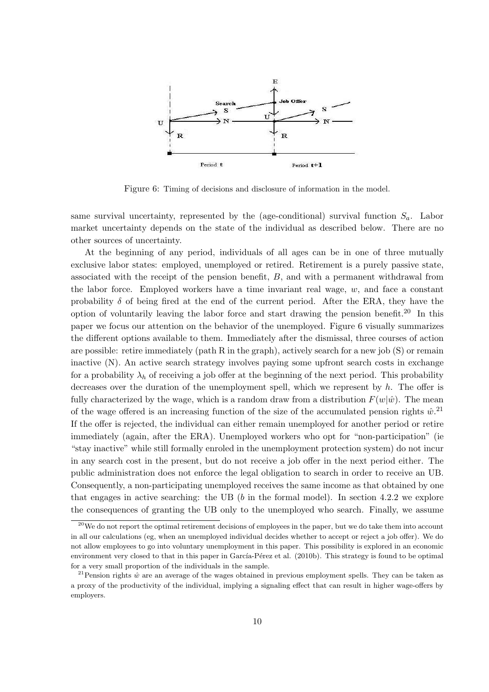

Figure 6: Timing of decisions and disclosure of information in the model.

same survival uncertainty, represented by the (age-conditional) survival function  $S_a$ . Labor market uncertainty depends on the state of the individual as described below. There are no other sources of uncertainty.

At the beginning of any period, individuals of all ages can be in one of three mutually exclusive labor states: employed, unemployed or retired. Retirement is a purely passive state, associated with the receipt of the pension benefit, B, and with a permanent withdrawal from the labor force. Employed workers have a time invariant real wage,  $w$ , and face a constant probability  $\delta$  of being fired at the end of the current period. After the ERA, they have the option of voluntarily leaving the labor force and start drawing the pension benefit.<sup>20</sup> In this paper we focus our attention on the behavior of the unemployed. Figure 6 visually summarizes the different options available to them. Immediately after the dismissal, three courses of action are possible: retire immediately (path R in the graph), actively search for a new job  $(S)$  or remain inactive (N). An active search strategy involves paying some upfront search costs in exchange for a probability  $\lambda_h$  of receiving a job offer at the beginning of the next period. This probability decreases over the duration of the unemployment spell, which we represent by  $h$ . The offer is fully characterized by the wage, which is a random draw from a distribution  $F(w|\hat{w})$ . The mean of the wage offered is an increasing function of the size of the accumulated pension rights  $\hat{w}$ <sup>21</sup> If the offer is rejected, the individual can either remain unemployed for another period or retire immediately (again, after the ERA). Unemployed workers who opt for "non-participation" (ie "stay inactive" while still formally enroled in the unemployment protection system) do not incur in any search cost in the present, but do not receive a job offer in the next period either. The public administration does not enforce the legal obligation to search in order to receive an UB. Consequently, a non-participating unemployed receives the same income as that obtained by one that engages in active searching: the UB  $(b \text{ in the formal model})$ . In section 4.2.2 we explore the consequences of granting the UB only to the unemployed who search. Finally, we assume

 $20$ We do not report the optimal retirement decisions of employees in the paper, but we do take them into account in all our calculations (eg, when an unemployed individual decides whether to accept or reject a job offer). We do not allow employees to go into voluntary unemployment in this paper. This possibility is explored in an economic environment very closed to that in this paper in García-Pérez et al. (2010b). This strategy is found to be optimal for a very small proportion of the individuals in the sample.

<sup>&</sup>lt;sup>21</sup>Pension rights  $\hat{w}$  are an average of the wages obtained in previous employment spells. They can be taken as a proxy of the productivity of the individual, implying a signaling effect that can result in higher wage-offers by employers.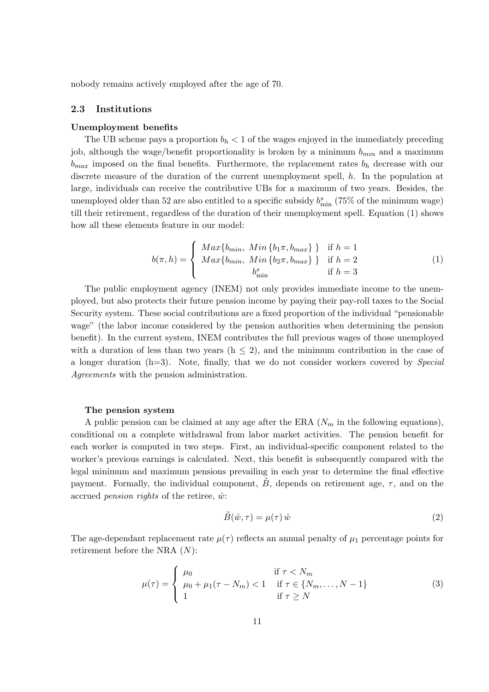nobody remains actively employed after the age of 70.

### 2.3 Institutions

#### Unemployment benefits

The UB scheme pays a proportion  $b<sub>h</sub> < 1$  of the wages enjoyed in the immediately preceding job, although the wage/benefit proportionality is broken by a minimum  $b_{min}$  and a maximum  $b_{max}$  imposed on the final benefits. Furthermore, the replacement rates  $b_h$  decrease with our discrete measure of the duration of the current unemployment spell, h. In the population at large, individuals can receive the contributive UBs for a maximum of two years. Besides, the unemployed older than 52 are also entitled to a specific subsidy  $b_{\min}^s$  (75% of the minimum wage) till their retirement, regardless of the duration of their unemployment spell. Equation (1) shows how all these elements feature in our model:

$$
b(\pi, h) = \begin{cases} \text{Max}\{b_{\min}, \text{ Min}\{b_1\pi, b_{\max}\}\} & \text{if } h = 1\\ \text{Max}\{b_{\min}, \text{ Min}\{b_2\pi, b_{\max}\}\} & \text{if } h = 2\\ b_{\min}^s & \text{if } h = 3 \end{cases}
$$
(1)

The public employment agency (INEM) not only provides immediate income to the unemployed, but also protects their future pension income by paying their pay-roll taxes to the Social Security system. These social contributions are a fixed proportion of the individual "pensionable wage" (the labor income considered by the pension authorities when determining the pension benefit). In the current system, INEM contributes the full previous wages of those unemployed with a duration of less than two years  $(h \leq 2)$ , and the minimum contribution in the case of a longer duration (h=3). Note, finally, that we do not consider workers covered by Special Agreements with the pension administration.

#### The pension system

A public pension can be claimed at any age after the ERA  $(N_m$  in the following equations), conditional on a complete withdrawal from labor market activities. The pension benefit for each worker is computed in two steps. First, an individual-specific component related to the worker's previous earnings is calculated. Next, this benefit is subsequently compared with the legal minimum and maximum pensions prevailing in each year to determine the final effective payment. Formally, the individual component,  $\ddot{B}$ , depends on retirement age,  $\tau$ , and on the accrued *pension rights* of the retiree,  $\hat{w}$ :

$$
\tilde{B}(\hat{w}, \tau) = \mu(\tau)\,\hat{w} \tag{2}
$$

The age-dependant replacement rate  $\mu(\tau)$  reflects an annual penalty of  $\mu_1$  percentage points for retirement before the NRA (N):

$$
\mu(\tau) = \begin{cases}\n\mu_0 & \text{if } \tau < N_m \\
\mu_0 + \mu_1(\tau - N_m) < 1 & \text{if } \tau \in \{N_m, \dots, N - 1\} \\
1 & \text{if } \tau \ge N\n\end{cases}
$$
\n(3)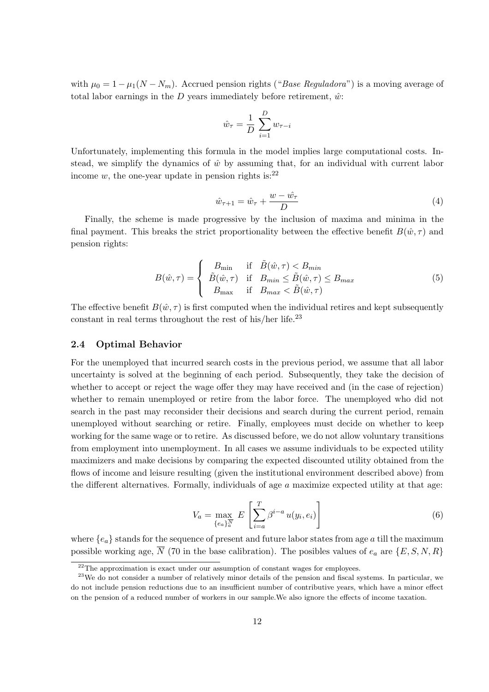with  $\mu_0 = 1 - \mu_1(N - N_m)$ . Accrued pension rights ("*Base Reguladora*") is a moving average of total labor earnings in the D years immediately before retirement,  $\hat{w}$ :

$$
\hat{w}_{\tau} = \frac{1}{D} \sum_{i=1}^{D} w_{\tau - i}
$$

Unfortunately, implementing this formula in the model implies large computational costs. Instead, we simplify the dynamics of  $\hat{w}$  by assuming that, for an individual with current labor income w, the one-year update in pension rights is:  $2^2$ 

$$
\hat{w}_{\tau+1} = \hat{w}_{\tau} + \frac{w - \hat{w}_{\tau}}{D} \tag{4}
$$

Finally, the scheme is made progressive by the inclusion of maxima and minima in the final payment. This breaks the strict proportionality between the effective benefit  $B(\hat{w}, \tau)$  and pension rights:

$$
B(\hat{w}, \tau) = \begin{cases} B_{\min} & \text{if } \tilde{B}(\hat{w}, \tau) < B_{\min} \\ \tilde{B}(\hat{w}, \tau) & \text{if } B_{\min} \le \tilde{B}(\hat{w}, \tau) \le B_{\max} \\ B_{\max} & \text{if } B_{\max} < \tilde{B}(\hat{w}, \tau) \end{cases}
$$
(5)

The effective benefit  $B(\hat{w}, \tau)$  is first computed when the individual retires and kept subsequently constant in real terms throughout the rest of his/her life. $^{23}$ 

### 2.4 Optimal Behavior

For the unemployed that incurred search costs in the previous period, we assume that all labor uncertainty is solved at the beginning of each period. Subsequently, they take the decision of whether to accept or reject the wage offer they may have received and (in the case of rejection) whether to remain unemployed or retire from the labor force. The unemployed who did not search in the past may reconsider their decisions and search during the current period, remain unemployed without searching or retire. Finally, employees must decide on whether to keep working for the same wage or to retire. As discussed before, we do not allow voluntary transitions from employment into unemployment. In all cases we assume individuals to be expected utility maximizers and make decisions by comparing the expected discounted utility obtained from the flows of income and leisure resulting (given the institutional environment described above) from the different alternatives. Formally, individuals of age  $a$  maximize expected utility at that age:

$$
V_a = \max_{\{e_a\}_a^{\overline{N}}} E\left[\sum_{i=a}^T \beta^{i-a} u(y_i, e_i)\right]
$$
(6)

where  ${e_a}$  stands for the sequence of present and future labor states from age a till the maximum possible working age,  $\overline{N}$  (70 in the base calibration). The posibles values of  $e_a$  are  $\{E, S, N, R\}$ 

 $22$ <sup>22</sup>The approximation is exact under our assumption of constant wages for employees.

 $^{23}$ We do not consider a number of relatively minor details of the pension and fiscal systems. In particular, we do not include pension reductions due to an insufficient number of contributive years, which have a minor effect on the pension of a reduced number of workers in our sample.We also ignore the effects of income taxation.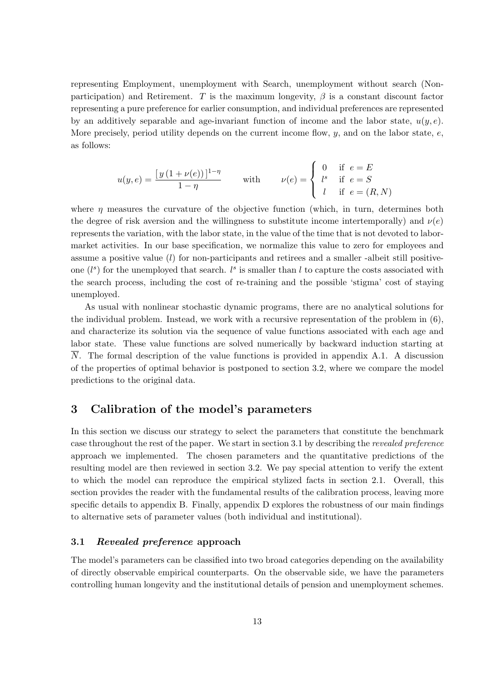representing Employment, unemployment with Search, unemployment without search (Nonparticipation) and Retirement. T is the maximum longevity,  $\beta$  is a constant discount factor representing a pure preference for earlier consumption, and individual preferences are represented by an additively separable and age-invariant function of income and the labor state,  $u(y, e)$ . More precisely, period utility depends on the current income flow,  $y$ , and on the labor state,  $e$ , as follows:

$$
u(y,e) = \frac{[y(1+\nu(e))]^{1-\eta}}{1-\eta} \quad \text{with} \quad \nu(e) = \begin{cases} 0 & \text{if } e = E \\ l^s & \text{if } e = S \\ l & \text{if } e = (R,N) \end{cases}
$$

 $\overline{ }$ 

where  $\eta$  measures the curvature of the objective function (which, in turn, determines both the degree of risk aversion and the willingness to substitute income intertemporally) and  $\nu(e)$ represents the variation, with the labor state, in the value of the time that is not devoted to labormarket activities. In our base specification, we normalize this value to zero for employees and assume a positive value (l) for non-participants and retirees and a smaller -albeit still positiveone  $(l<sup>s</sup>)$  for the unemployed that search.  $l<sup>s</sup>$  is smaller than l to capture the costs associated with the search process, including the cost of re-training and the possible 'stigma' cost of staying unemployed.

As usual with nonlinear stochastic dynamic programs, there are no analytical solutions for the individual problem. Instead, we work with a recursive representation of the problem in (6), and characterize its solution via the sequence of value functions associated with each age and labor state. These value functions are solved numerically by backward induction starting at  $\overline{N}$ . The formal description of the value functions is provided in appendix A.1. A discussion of the properties of optimal behavior is postponed to section 3.2, where we compare the model predictions to the original data.

# 3 Calibration of the model's parameters

In this section we discuss our strategy to select the parameters that constitute the benchmark case throughout the rest of the paper. We start in section 3.1 by describing the revealed preference approach we implemented. The chosen parameters and the quantitative predictions of the resulting model are then reviewed in section 3.2. We pay special attention to verify the extent to which the model can reproduce the empirical stylized facts in section 2.1. Overall, this section provides the reader with the fundamental results of the calibration process, leaving more specific details to appendix B. Finally, appendix D explores the robustness of our main findings to alternative sets of parameter values (both individual and institutional).

### 3.1 Revealed preference approach

The model's parameters can be classified into two broad categories depending on the availability of directly observable empirical counterparts. On the observable side, we have the parameters controlling human longevity and the institutional details of pension and unemployment schemes.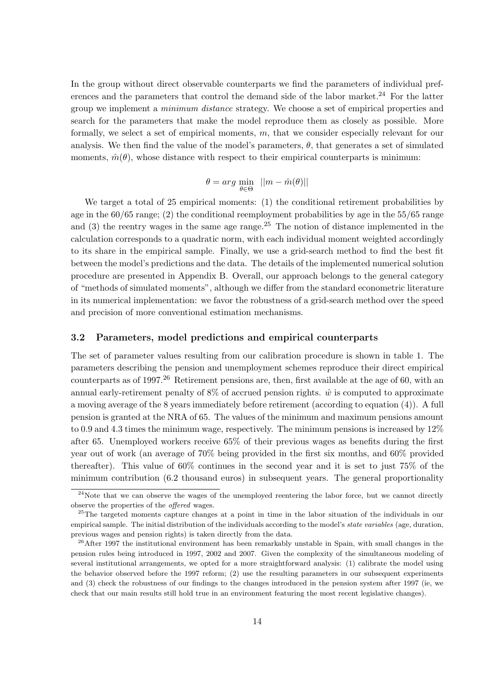In the group without direct observable counterparts we find the parameters of individual preferences and the parameters that control the demand side of the labor market.<sup>24</sup> For the latter group we implement a minimum distance strategy. We choose a set of empirical properties and search for the parameters that make the model reproduce them as closely as possible. More formally, we select a set of empirical moments, m, that we consider especially relevant for our analysis. We then find the value of the model's parameters,  $\theta$ , that generates a set of simulated moments,  $\hat{m}(\theta)$ , whose distance with respect to their empirical counterparts is minimum:

$$
\theta = arg \min_{\theta \in \Theta} \ \ ||m - \hat{m}(\theta)||
$$

We target a total of 25 empirical moments: (1) the conditional retirement probabilities by age in the 60/65 range; (2) the conditional reemployment probabilities by age in the 55/65 range and  $(3)$  the reentry wages in the same age range.<sup>25</sup> The notion of distance implemented in the calculation corresponds to a quadratic norm, with each individual moment weighted accordingly to its share in the empirical sample. Finally, we use a grid-search method to find the best fit between the model's predictions and the data. The details of the implemented numerical solution procedure are presented in Appendix B. Overall, our approach belongs to the general category of "methods of simulated moments", although we differ from the standard econometric literature in its numerical implementation: we favor the robustness of a grid-search method over the speed and precision of more conventional estimation mechanisms.

### 3.2 Parameters, model predictions and empirical counterparts

The set of parameter values resulting from our calibration procedure is shown in table 1. The parameters describing the pension and unemployment schemes reproduce their direct empirical counterparts as of 1997.<sup>26</sup> Retirement pensions are, then, first available at the age of 60, with an annual early-retirement penalty of  $8\%$  of accrued pension rights.  $\hat{w}$  is computed to approximate a moving average of the 8 years immediately before retirement (according to equation (4)). A full pension is granted at the NRA of 65. The values of the minimum and maximum pensions amount to 0.9 and 4.3 times the minimum wage, respectively. The minimum pensions is increased by 12% after 65. Unemployed workers receive 65% of their previous wages as benefits during the first year out of work (an average of 70% being provided in the first six months, and 60% provided thereafter). This value of 60% continues in the second year and it is set to just 75% of the minimum contribution (6.2 thousand euros) in subsequent years. The general proportionality

 $24$ Note that we can observe the wages of the unemployed reentering the labor force, but we cannot directly observe the properties of the offered wages.

<sup>&</sup>lt;sup>25</sup>The targeted moments capture changes at a point in time in the labor situation of the individuals in our empirical sample. The initial distribution of the individuals according to the model's state variables (age, duration, previous wages and pension rights) is taken directly from the data.

 $26$ After 1997 the institutional environment has been remarkably unstable in Spain, with small changes in the pension rules being introduced in 1997, 2002 and 2007. Given the complexity of the simultaneous modeling of several institutional arrangements, we opted for a more straightforward analysis: (1) calibrate the model using the behavior observed before the 1997 reform; (2) use the resulting parameters in our subsequent experiments and (3) check the robustness of our findings to the changes introduced in the pension system after 1997 (ie, we check that our main results still hold true in an environment featuring the most recent legislative changes).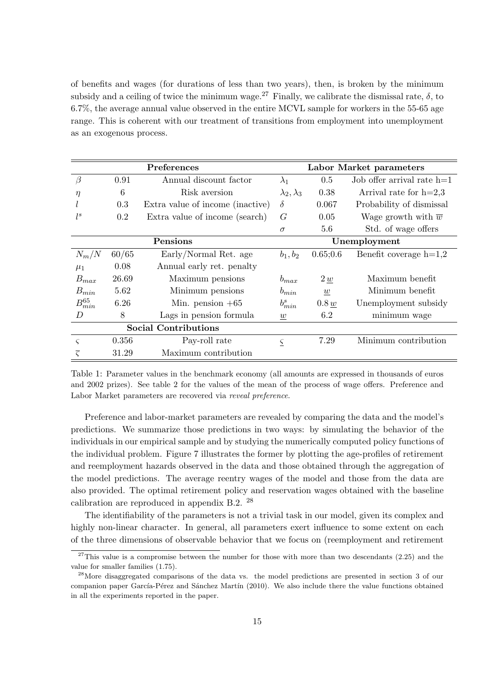of benefits and wages (for durations of less than two years), then, is broken by the minimum subsidy and a ceiling of twice the minimum wage.<sup>27</sup> Finally, we calibrate the dismissal rate,  $\delta$ , to 6.7%, the average annual value observed in the entire MCVL sample for workers in the 55-65 age range. This is coherent with our treatment of transitions from employment into unemployment as an exogenous process.

| Preferences                 |       |                                  |                          | Labor Market parameters |                                 |  |  |
|-----------------------------|-------|----------------------------------|--------------------------|-------------------------|---------------------------------|--|--|
| $\beta$                     | 0.91  | Annual discount factor           | $\lambda_1$              | 0.5                     | Job offer arrival rate $h=1$    |  |  |
| $\eta$                      | 6     | Risk aversion                    | $\lambda_2, \lambda_3$   | 0.38                    | Arrival rate for $h=2,3$        |  |  |
|                             | 0.3   | Extra value of income (inactive) | $\delta$                 | 0.067                   | Probability of dismissal        |  |  |
| $l^s$                       | 0.2   | Extra value of income (search)   | G                        | 0.05                    | Wage growth with $\overline{w}$ |  |  |
|                             |       |                                  | $\sigma$                 | 5.6                     | Std. of wage offers             |  |  |
| Pensions                    |       |                                  |                          | Unemployment            |                                 |  |  |
| $N_m/N$                     | 60/65 | Early/Normal Ret. age            | $b_1, b_2$               | 0.65;0.6                | Benefit coverage $h=1,2$        |  |  |
| $\mu_1$                     | 0.08  | Annual early ret. penalty        |                          |                         |                                 |  |  |
| $B_{max}$                   | 26.69 | Maximum pensions                 | $b_{max}$                | 2 w                     | Maximum benefit                 |  |  |
| $B_{min}$                   | 5.62  | Minimum pensions                 | $b_{min}$                | $\underline{w}$         | Minimum benefit                 |  |  |
| $B_{min}^{65}$              | 6.26  | Min. pension $+65$               |                          | 0.8 w                   | Unemployment subsidy            |  |  |
| D                           | 8     | Lags in pension formula          |                          | 6.2                     | minimum wage                    |  |  |
| <b>Social Contributions</b> |       |                                  |                          |                         |                                 |  |  |
| $\varsigma$                 | 0.356 | Pay-roll rate                    | $\underline{\mathsf{S}}$ | 7.29                    | Minimum contribution            |  |  |
| $\overline{\varsigma}$      | 31.29 | Maximum contribution             |                          |                         |                                 |  |  |

Table 1: Parameter values in the benchmark economy (all amounts are expressed in thousands of euros and 2002 prizes). See table 2 for the values of the mean of the process of wage offers. Preference and Labor Market parameters are recovered via reveal preference.

Preference and labor-market parameters are revealed by comparing the data and the model's predictions. We summarize those predictions in two ways: by simulating the behavior of the individuals in our empirical sample and by studying the numerically computed policy functions of the individual problem. Figure 7 illustrates the former by plotting the age-profiles of retirement and reemployment hazards observed in the data and those obtained through the aggregation of the model predictions. The average reentry wages of the model and those from the data are also provided. The optimal retirement policy and reservation wages obtained with the baseline calibration are reproduced in appendix B.2. <sup>28</sup>

The identifiability of the parameters is not a trivial task in our model, given its complex and highly non-linear character. In general, all parameters exert influence to some extent on each of the three dimensions of observable behavior that we focus on (reemployment and retirement

 $27$ This value is a compromise between the number for those with more than two descendants (2.25) and the value for smaller families (1.75).

<sup>28</sup>More disaggregated comparisons of the data vs. the model predictions are presented in section 3 of our companion paper García-Pérez and Sánchez Martín (2010). We also include there the value functions obtained in all the experiments reported in the paper.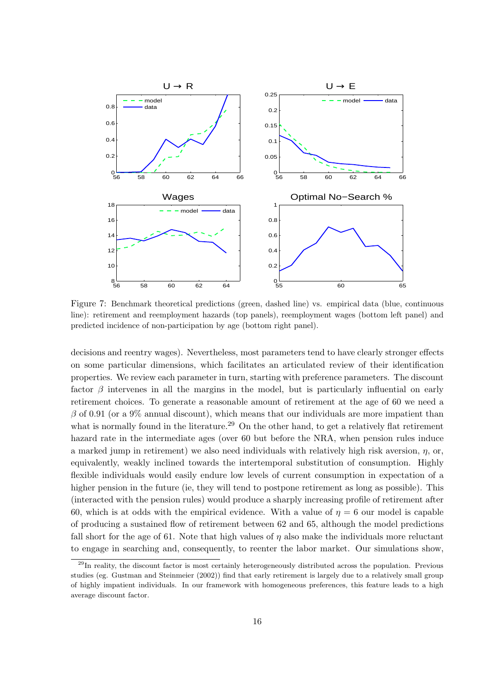

Figure 7: Benchmark theoretical predictions (green, dashed line) vs. empirical data (blue, continuous line): retirement and reemployment hazards (top panels), reemployment wages (bottom left panel) and predicted incidence of non-participation by age (bottom right panel).

decisions and reentry wages). Nevertheless, most parameters tend to have clearly stronger effects on some particular dimensions, which facilitates an articulated review of their identification properties. We review each parameter in turn, starting with preference parameters. The discount factor  $\beta$  intervenes in all the margins in the model, but is particularly influential on early retirement choices. To generate a reasonable amount of retirement at the age of 60 we need a  $\beta$  of 0.91 (or a 9% annual discount), which means that our individuals are more impatient than what is normally found in the literature.<sup>29</sup> On the other hand, to get a relatively flat retirement hazard rate in the intermediate ages (over 60 but before the NRA, when pension rules induce a marked jump in retirement) we also need individuals with relatively high risk aversion,  $\eta$ , or, equivalently, weakly inclined towards the intertemporal substitution of consumption. Highly flexible individuals would easily endure low levels of current consumption in expectation of a higher pension in the future (ie, they will tend to postpone retirement as long as possible). This (interacted with the pension rules) would produce a sharply increasing profile of retirement after 60, which is at odds with the empirical evidence. With a value of  $\eta = 6$  our model is capable of producing a sustained flow of retirement between 62 and 65, although the model predictions fall short for the age of 61. Note that high values of  $\eta$  also make the individuals more reluctant to engage in searching and, consequently, to reenter the labor market. Our simulations show,

<sup>&</sup>lt;sup>29</sup>In reality, the discount factor is most certainly heterogeneously distributed across the population. Previous studies (eg. Gustman and Steinmeier (2002)) find that early retirement is largely due to a relatively small group of highly impatient individuals. In our framework with homogeneous preferences, this feature leads to a high average discount factor.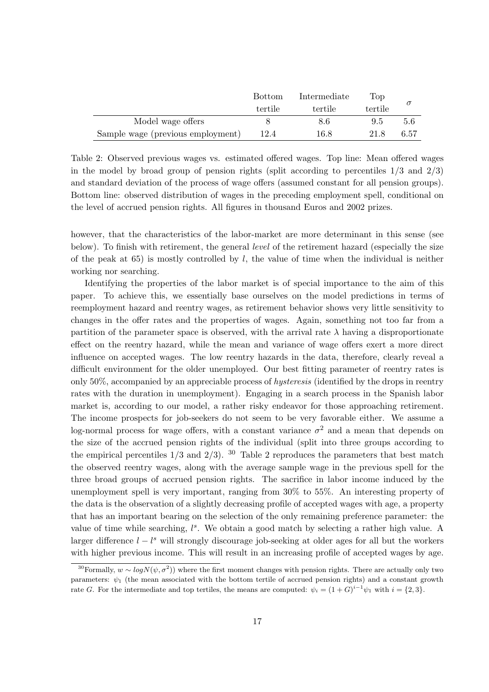|                                   | <b>Bottom</b> | Intermediate | Top     |      |
|-----------------------------------|---------------|--------------|---------|------|
|                                   | tertile       | tertile      | tertile |      |
| Model wage offers                 |               | 8.6          | 9.5     | 5.6  |
| Sample wage (previous employment) | 12.4          | $16.8\,$     | 21.8    | 6.57 |

Table 2: Observed previous wages vs. estimated offered wages. Top line: Mean offered wages in the model by broad group of pension rights (split according to percentiles  $1/3$  and  $2/3$ ) and standard deviation of the process of wage offers (assumed constant for all pension groups). Bottom line: observed distribution of wages in the preceding employment spell, conditional on the level of accrued pension rights. All figures in thousand Euros and 2002 prizes.

however, that the characteristics of the labor-market are more determinant in this sense (see below). To finish with retirement, the general level of the retirement hazard (especially the size of the peak at 65) is mostly controlled by  $l$ , the value of time when the individual is neither working nor searching.

Identifying the properties of the labor market is of special importance to the aim of this paper. To achieve this, we essentially base ourselves on the model predictions in terms of reemployment hazard and reentry wages, as retirement behavior shows very little sensitivity to changes in the offer rates and the properties of wages. Again, something not too far from a partition of the parameter space is observed, with the arrival rate  $\lambda$  having a disproportionate effect on the reentry hazard, while the mean and variance of wage offers exert a more direct influence on accepted wages. The low reentry hazards in the data, therefore, clearly reveal a difficult environment for the older unemployed. Our best fitting parameter of reentry rates is only 50%, accompanied by an appreciable process of hysteresis (identified by the drops in reentry rates with the duration in unemployment). Engaging in a search process in the Spanish labor market is, according to our model, a rather risky endeavor for those approaching retirement. The income prospects for job-seekers do not seem to be very favorable either. We assume a log-normal process for wage offers, with a constant variance  $\sigma^2$  and a mean that depends on the size of the accrued pension rights of the individual (split into three groups according to the empirical percentiles  $1/3$  and  $2/3$ ). <sup>30</sup> Table 2 reproduces the parameters that best match the observed reentry wages, along with the average sample wage in the previous spell for the three broad groups of accrued pension rights. The sacrifice in labor income induced by the unemployment spell is very important, ranging from 30% to 55%. An interesting property of the data is the observation of a slightly decreasing profile of accepted wages with age, a property that has an important bearing on the selection of the only remaining preference parameter: the value of time while searching,  $l^s$ . We obtain a good match by selecting a rather high value. A larger difference  $l - l^s$  will strongly discourage job-seeking at older ages for all but the workers with higher previous income. This will result in an increasing profile of accepted wages by age.

<sup>&</sup>lt;sup>30</sup>Formally,  $w \sim log N(\psi, \sigma^2)$ ) where the first moment changes with pension rights. There are actually only two parameters:  $\psi_1$  (the mean associated with the bottom tertile of accrued pension rights) and a constant growth rate G. For the intermediate and top tertiles, the means are computed:  $\psi_i = (1+G)^{i-1}\psi_1$  with  $i = \{2,3\}$ .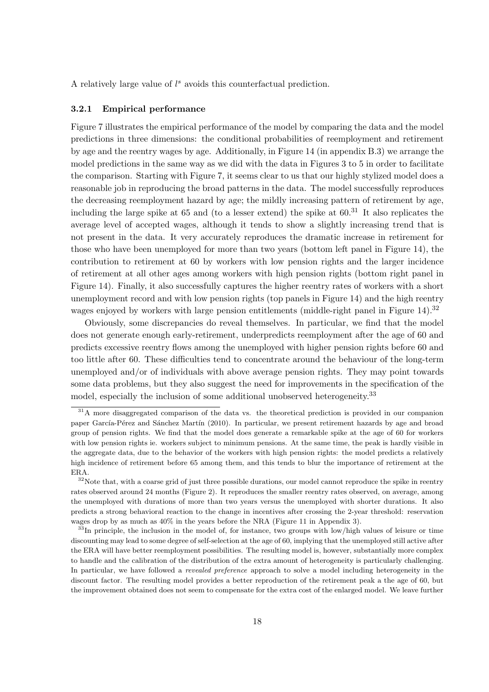A relatively large value of  $l^s$  avoids this counterfactual prediction.

### 3.2.1 Empirical performance

Figure 7 illustrates the empirical performance of the model by comparing the data and the model predictions in three dimensions: the conditional probabilities of reemployment and retirement by age and the reentry wages by age. Additionally, in Figure 14 (in appendix B.3) we arrange the model predictions in the same way as we did with the data in Figures 3 to 5 in order to facilitate the comparison. Starting with Figure 7, it seems clear to us that our highly stylized model does a reasonable job in reproducing the broad patterns in the data. The model successfully reproduces the decreasing reemployment hazard by age; the mildly increasing pattern of retirement by age, including the large spike at 65 and (to a lesser extend) the spike at  $60<sup>31</sup>$  It also replicates the average level of accepted wages, although it tends to show a slightly increasing trend that is not present in the data. It very accurately reproduces the dramatic increase in retirement for those who have been unemployed for more than two years (bottom left panel in Figure 14), the contribution to retirement at 60 by workers with low pension rights and the larger incidence of retirement at all other ages among workers with high pension rights (bottom right panel in Figure 14). Finally, it also successfully captures the higher reentry rates of workers with a short unemployment record and with low pension rights (top panels in Figure 14) and the high reentry wages enjoyed by workers with large pension entitlements (middle-right panel in Figure 14).<sup>32</sup>

Obviously, some discrepancies do reveal themselves. In particular, we find that the model does not generate enough early-retirement, underpredicts reemployment after the age of 60 and predicts excessive reentry flows among the unemployed with higher pension rights before 60 and too little after 60. These difficulties tend to concentrate around the behaviour of the long-term unemployed and/or of individuals with above average pension rights. They may point towards some data problems, but they also suggest the need for improvements in the specification of the model, especially the inclusion of some additional unobserved heterogeneity.<sup>33</sup>

<sup>&</sup>lt;sup>31</sup>A more disaggregated comparison of the data vs. the theoretical prediction is provided in our companion paper García-Pérez and Sánchez Martín (2010). In particular, we present retirement hazards by age and broad group of pension rights. We find that the model does generate a remarkable spike at the age of 60 for workers with low pension rights ie. workers subject to minimum pensions. At the same time, the peak is hardly visible in the aggregate data, due to the behavior of the workers with high pension rights: the model predicts a relatively high incidence of retirement before 65 among them, and this tends to blur the importance of retirement at the ERA.

 $32\%$ Note that, with a coarse grid of just three possible durations, our model cannot reproduce the spike in reentry rates observed around 24 months (Figure 2). It reproduces the smaller reentry rates observed, on average, among the unemployed with durations of more than two years versus the unemployed with shorter durations. It also predicts a strong behavioral reaction to the change in incentives after crossing the 2-year threshold: reservation wages drop by as much as 40% in the years before the NRA (Figure 11 in Appendix 3).

<sup>&</sup>lt;sup>33</sup>In principle, the inclusion in the model of, for instance, two groups with low/high values of leisure or time discounting may lead to some degree of self-selection at the age of 60, implying that the unemployed still active after the ERA will have better reemployment possibilities. The resulting model is, however, substantially more complex to handle and the calibration of the distribution of the extra amount of heterogeneity is particularly challenging. In particular, we have followed a revealed preference approach to solve a model including heterogeneity in the discount factor. The resulting model provides a better reproduction of the retirement peak a the age of 60, but the improvement obtained does not seem to compensate for the extra cost of the enlarged model. We leave further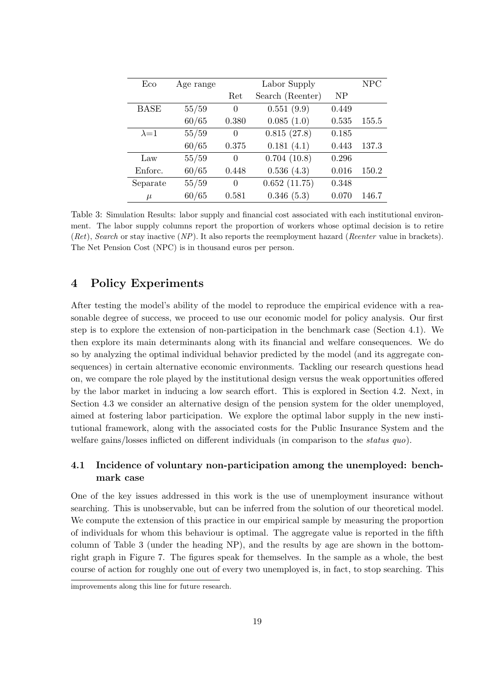| Eco           | Age range |          | Labor Supply     |                | <b>NPC</b> |
|---------------|-----------|----------|------------------|----------------|------------|
|               |           | Ret      | Search (Reenter) | N <sub>P</sub> |            |
| <b>BASE</b>   | 55/59     | $\theta$ | 0.551(9.9)       | 0.449          |            |
|               | 60/65     | 0.380    | 0.085(1.0)       | 0.535          | 155.5      |
| $\lambda = 1$ | 55/59     | $\Omega$ | 0.815(27.8)      | 0.185          |            |
|               | 60/65     | 0.375    | 0.181(4.1)       | 0.443          | 137.3      |
| Law           | 55/59     | 0        | 0.704(10.8)      | 0.296          |            |
| Enforc.       | 60/65     | 0.448    | 0.536(4.3)       | 0.016          | 150.2      |
| Separate      | 55/59     | 0        | 0.652(11.75)     | 0.348          |            |
| $\mu$         | 60/65     | 0.581    | 0.346(5.3)       | 0.070          | 146.7      |

Table 3: Simulation Results: labor supply and financial cost associated with each institutional environment. The labor supply columns report the proportion of workers whose optimal decision is to retire  $(Ret)$ , Search or stay inactive  $(NP)$ . It also reports the reemployment hazard (Reenter value in brackets). The Net Pension Cost (NPC) is in thousand euros per person.

# 4 Policy Experiments

After testing the model's ability of the model to reproduce the empirical evidence with a reasonable degree of success, we proceed to use our economic model for policy analysis. Our first step is to explore the extension of non-participation in the benchmark case (Section 4.1). We then explore its main determinants along with its financial and welfare consequences. We do so by analyzing the optimal individual behavior predicted by the model (and its aggregate consequences) in certain alternative economic environments. Tackling our research questions head on, we compare the role played by the institutional design versus the weak opportunities offered by the labor market in inducing a low search effort. This is explored in Section 4.2. Next, in Section 4.3 we consider an alternative design of the pension system for the older unemployed, aimed at fostering labor participation. We explore the optimal labor supply in the new institutional framework, along with the associated costs for the Public Insurance System and the welfare gains/losses inflicted on different individuals (in comparison to the status quo).

# 4.1 Incidence of voluntary non-participation among the unemployed: benchmark case

One of the key issues addressed in this work is the use of unemployment insurance without searching. This is unobservable, but can be inferred from the solution of our theoretical model. We compute the extension of this practice in our empirical sample by measuring the proportion of individuals for whom this behaviour is optimal. The aggregate value is reported in the fifth column of Table 3 (under the heading NP), and the results by age are shown in the bottomright graph in Figure 7. The figures speak for themselves. In the sample as a whole, the best course of action for roughly one out of every two unemployed is, in fact, to stop searching. This

improvements along this line for future research.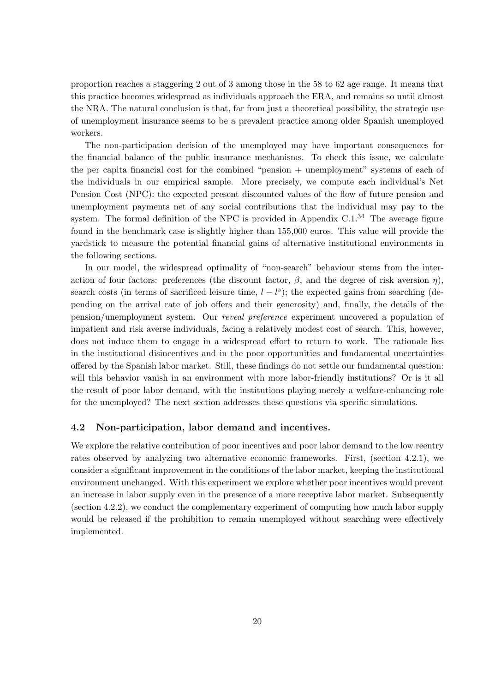proportion reaches a staggering 2 out of 3 among those in the 58 to 62 age range. It means that this practice becomes widespread as individuals approach the ERA, and remains so until almost the NRA. The natural conclusion is that, far from just a theoretical possibility, the strategic use of unemployment insurance seems to be a prevalent practice among older Spanish unemployed workers.

The non-participation decision of the unemployed may have important consequences for the financial balance of the public insurance mechanisms. To check this issue, we calculate the per capita financial cost for the combined "pension + unemployment" systems of each of the individuals in our empirical sample. More precisely, we compute each individual's Net Pension Cost (NPC): the expected present discounted values of the flow of future pension and unemployment payments net of any social contributions that the individual may pay to the system. The formal definition of the NPC is provided in Appendix  $C.1<sup>34</sup>$  The average figure found in the benchmark case is slightly higher than 155,000 euros. This value will provide the yardstick to measure the potential financial gains of alternative institutional environments in the following sections.

In our model, the widespread optimality of "non-search" behaviour stems from the interaction of four factors: preferences (the discount factor,  $\beta$ , and the degree of risk aversion  $\eta$ ), search costs (in terms of sacrificed leisure time,  $l - l^s$ ); the expected gains from searching (depending on the arrival rate of job offers and their generosity) and, finally, the details of the pension/unemployment system. Our reveal preference experiment uncovered a population of impatient and risk averse individuals, facing a relatively modest cost of search. This, however, does not induce them to engage in a widespread effort to return to work. The rationale lies in the institutional disincentives and in the poor opportunities and fundamental uncertainties offered by the Spanish labor market. Still, these findings do not settle our fundamental question: will this behavior vanish in an environment with more labor-friendly institutions? Or is it all the result of poor labor demand, with the institutions playing merely a welfare-enhancing role for the unemployed? The next section addresses these questions via specific simulations.

### 4.2 Non-participation, labor demand and incentives.

We explore the relative contribution of poor incentives and poor labor demand to the low reentry rates observed by analyzing two alternative economic frameworks. First, (section 4.2.1), we consider a significant improvement in the conditions of the labor market, keeping the institutional environment unchanged. With this experiment we explore whether poor incentives would prevent an increase in labor supply even in the presence of a more receptive labor market. Subsequently (section 4.2.2), we conduct the complementary experiment of computing how much labor supply would be released if the prohibition to remain unemployed without searching were effectively implemented.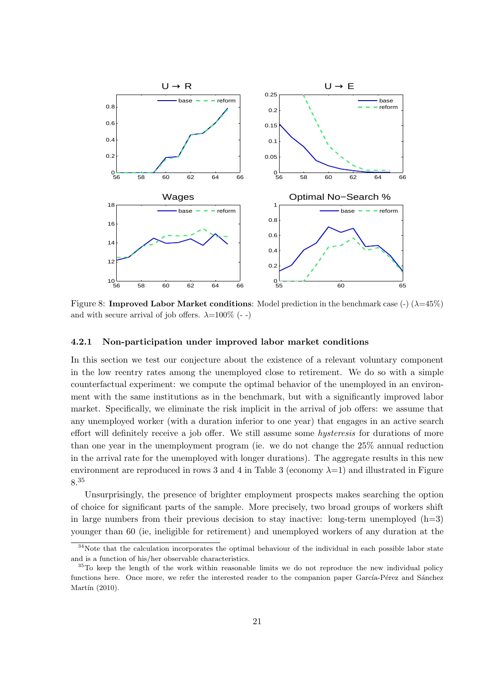

Figure 8: **Improved Labor Market conditions**: Model prediction in the benchmark case  $\left(\frac{\cdot}{\cdot}\right)$  ( $\lambda$ =45%) and with secure arrival of job offers.  $\lambda = 100\%$  (--)

### 4.2.1 Non-participation under improved labor market conditions

In this section we test our conjecture about the existence of a relevant voluntary component in the low reentry rates among the unemployed close to retirement. We do so with a simple counterfactual experiment: we compute the optimal behavior of the unemployed in an environment with the same institutions as in the benchmark, but with a significantly improved labor market. Specifically, we eliminate the risk implicit in the arrival of job offers: we assume that any unemployed worker (with a duration inferior to one year) that engages in an active search effort will definitely receive a job offer. We still assume some hysteresis for durations of more than one year in the unemployment program (ie. we do not change the 25% annual reduction in the arrival rate for the unemployed with longer durations). The aggregate results in this new environment are reproduced in rows 3 and 4 in Table 3 (economy  $\lambda=1$ ) and illustrated in Figure 8.<sup>35</sup>

Unsurprisingly, the presence of brighter employment prospects makes searching the option of choice for significant parts of the sample. More precisely, two broad groups of workers shift in large numbers from their previous decision to stay inactive: long-term unemployed  $(h=3)$ younger than 60 (ie, ineligible for retirement) and unemployed workers of any duration at the

<sup>&</sup>lt;sup>34</sup>Note that the calculation incorporates the optimal behaviour of the individual in each possible labor state and is a function of his/her observable characteristics.

<sup>&</sup>lt;sup>35</sup>To keep the length of the work within reasonable limits we do not reproduce the new individual policy functions here. Once more, we refer the interested reader to the companion paper García-Pérez and Sánchez Martín  $(2010)$ .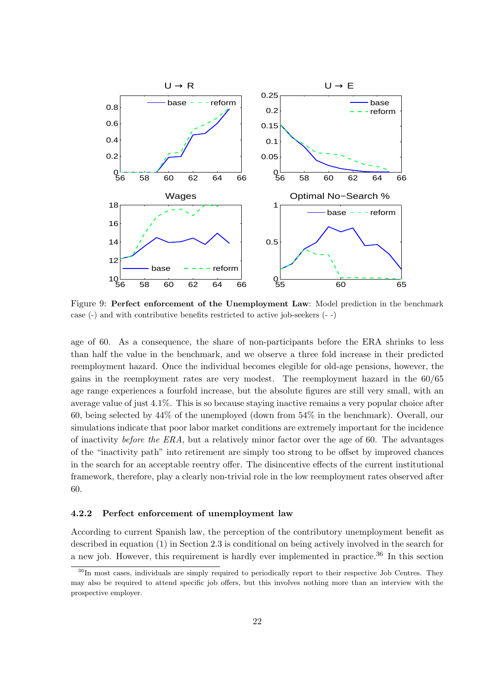

Figure 9: Perfect enforcement of the Unemployment Law: Model prediction in the benchmark case (-) and with contributive benefits restricted to active job-seekers (- -)

age of 60. As a consequence, the share of non-participants before the ERA shrinks to less than half the value in the benchmark, and we observe a three fold increase in their predicted reemployment hazard. Once the individual becomes elegible for old-age pensions, however, the gains in the reemployment rates are very modest. The reemployment hazard in the 60/65 age range experiences a fourfold increase, but the absolute figures are still very small, with an average value of just 4.1%. This is so because staying inactive remains a very popular choice after 60, being selected by 44% of the unemployed (down from 54% in the benchmark). Overall, our simulations indicate that poor labor market conditions are extremely important for the incidence of inactivity *before the ERA*, but a relatively minor factor over the age of 60. The advantages of the "inactivity path" into retirement are simply too strong to be offset by improved chances in the search for an acceptable reentry offer. The disincentive effects of the current institutional framework, therefore, play a clearly non-trivial role in the low reemployment rates observed after 60.

### 4.2.2 Perfect enforcement of unemployment law

According to current Spanish law, the perception of the contributory unemployment benefit as described in equation (1) in Section 2.3 is conditional on being actively involved in the search for a new job. However, this requirement is hardly ever implemented in practice.<sup>36</sup> In this section

<sup>&</sup>lt;sup>36</sup>In most cases, individuals are simply required to periodically report to their respective Job Centres. They may also be required to attend specific job offers, but this involves nothing more than an interview with the prospective employer.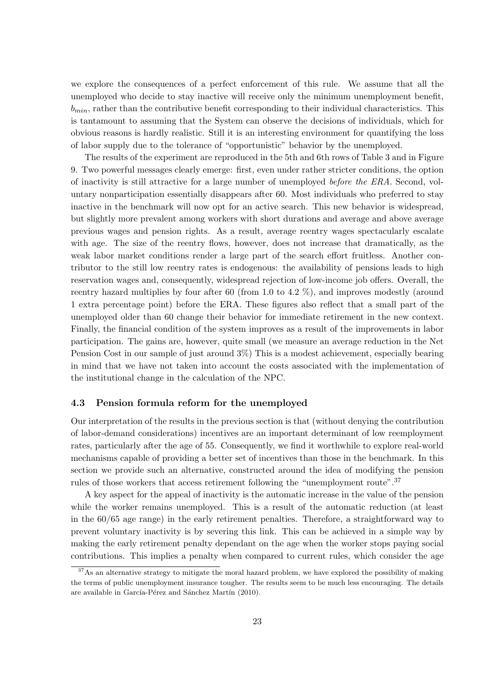we explore the consequences of a perfect enforcement of this rule. We assume that all the unemployed who decide to stay inactive will receive only the minimum unemployment benefit,  $b_{min}$ , rather than the contributive benefit corresponding to their individual characteristics. This is tantamount to assuming that the System can observe the decisions of individuals, which for obvious reasons is hardly realistic. Still it is an interesting environment for quantifying the loss of labor supply due to the tolerance of "opportunistic" behavior by the unemployed.

The results of the experiment are reproduced in the 5th and 6th rows of Table 3 and in Figure 9. Two powerful messages clearly emerge: first, even under rather stricter conditions, the option of inactivity is still attractive for a large number of unemployed before the ERA. Second, voluntary nonparticipation essentially disappears after 60. Most individuals who preferred to stay inactive in the benchmark will now opt for an active search. This new behavior is widespread, but slightly more prevalent among workers with short durations and average and above average previous wages and pension rights. As a result, average reentry wages spectacularly escalate with age. The size of the reentry flows, however, does not increase that dramatically, as the weak labor market conditions render a large part of the search effort fruitless. Another contributor to the still low reentry rates is endogenous: the availability of pensions leads to high reservation wages and, consequently, widespread rejection of low-income job offers. Overall, the reentry hazard multiplies by four after 60 (from 1.0 to 4.2 %), and improves modestly (around 1 extra percentage point) before the ERA. These figures also reflect that a small part of the unemployed older than 60 change their behavior for immediate retirement in the new context. Finally, the financial condition of the system improves as a result of the improvements in labor participation. The gains are, however, quite small (we measure an average reduction in the Net Pension Cost in our sample of just around 3%) This is a modest achievement, especially bearing in mind that we have not taken into account the costs associated with the implementation of the institutional change in the calculation of the NPC.

### 4.3 Pension formula reform for the unemployed

Our interpretation of the results in the previous section is that (without denying the contribution of labor-demand considerations) incentives are an important determinant of low reemployment rates, particularly after the age of 55. Consequently, we find it worthwhile to explore real-world mechanisms capable of providing a better set of incentives than those in the benchmark. In this section we provide such an alternative, constructed around the idea of modifying the pension rules of those workers that access retirement following the "unemployment route".<sup>37</sup>

A key aspect for the appeal of inactivity is the automatic increase in the value of the pension while the worker remains unemployed. This is a result of the automatic reduction (at least in the 60/65 age range) in the early retirement penalties. Therefore, a straightforward way to prevent voluntary inactivity is by severing this link. This can be achieved in a simple way by making the early retirement penalty dependant on the age when the worker stops paying social contributions. This implies a penalty when compared to current rules, which consider the age

<sup>&</sup>lt;sup>37</sup>As an alternative strategy to mitigate the moral hazard problem, we have explored the possibility of making the terms of public unemployment insurance tougher. The results seem to be much less encouraging. The details are available in García-Pérez and Sánchez Martín (2010).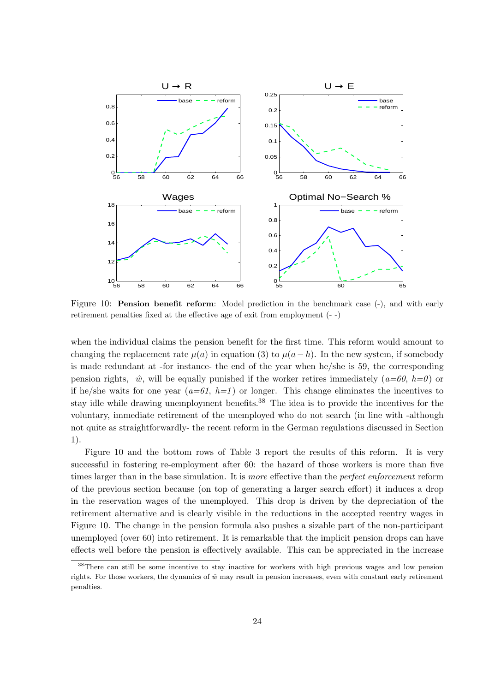

Figure 10: **Pension benefit reform**: Model prediction in the benchmark case (-), and with early retirement penalties fixed at the effective age of exit from employment (- -)

when the individual claims the pension benefit for the first time. This reform would amount to changing the replacement rate  $\mu(a)$  in equation (3) to  $\mu(a-h)$ . In the new system, if somebody is made redundant at -for instance- the end of the year when he/she is 59, the corresponding pension rights,  $\hat{w}$ , will be equally punished if the worker retires immediately  $(a=60, h=0)$  or if he/she waits for one year  $(a=61, h=1)$  or longer. This change eliminates the incentives to stay idle while drawing unemployment benefits.<sup>38</sup> The idea is to provide the incentives for the voluntary, immediate retirement of the unemployed who do not search (in line with -although not quite as straightforwardly- the recent reform in the German regulations discussed in Section 1).

Figure 10 and the bottom rows of Table 3 report the results of this reform. It is very successful in fostering re-employment after 60: the hazard of those workers is more than five times larger than in the base simulation. It is more effective than the *perfect enforcement* reform of the previous section because (on top of generating a larger search effort) it induces a drop in the reservation wages of the unemployed. This drop is driven by the depreciation of the retirement alternative and is clearly visible in the reductions in the accepted reentry wages in Figure 10. The change in the pension formula also pushes a sizable part of the non-participant unemployed (over 60) into retirement. It is remarkable that the implicit pension drops can have effects well before the pension is effectively available. This can be appreciated in the increase

<sup>38</sup>There can still be some incentive to stay inactive for workers with high previous wages and low pension rights. For those workers, the dynamics of  $\hat{w}$  may result in pension increases, even with constant early retirement penalties.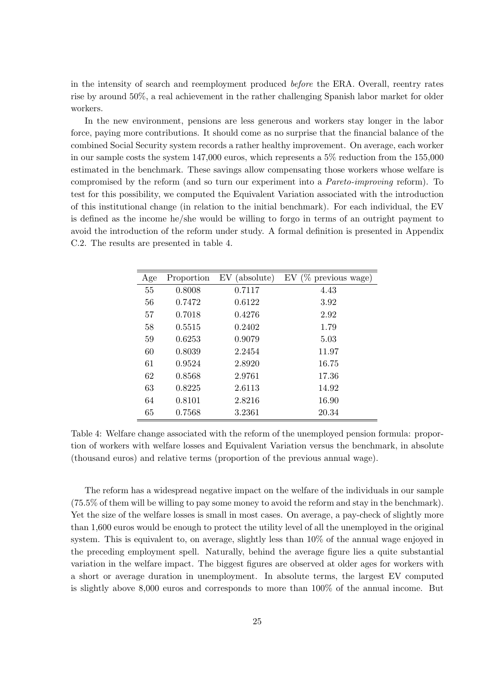in the intensity of search and reemployment produced before the ERA. Overall, reentry rates rise by around 50%, a real achievement in the rather challenging Spanish labor market for older workers.

In the new environment, pensions are less generous and workers stay longer in the labor force, paying more contributions. It should come as no surprise that the financial balance of the combined Social Security system records a rather healthy improvement. On average, each worker in our sample costs the system 147,000 euros, which represents a 5% reduction from the 155,000 estimated in the benchmark. These savings allow compensating those workers whose welfare is compromised by the reform (and so turn our experiment into a Pareto-improving reform). To test for this possibility, we computed the Equivalent Variation associated with the introduction of this institutional change (in relation to the initial benchmark). For each individual, the EV is defined as the income he/she would be willing to forgo in terms of an outright payment to avoid the introduction of the reform under study. A formal definition is presented in Appendix C.2. The results are presented in table 4.

| Age | Proportion | EV (absolute) | $EV$ (% previous wage) |
|-----|------------|---------------|------------------------|
| 55  | 0.8008     | 0.7117        | 4.43                   |
| 56  | 0.7472     | 0.6122        | 3.92                   |
| 57  | 0.7018     | 0.4276        | 2.92                   |
| 58  | 0.5515     | 0.2402        | 1.79                   |
| 59  | 0.6253     | 0.9079        | 5.03                   |
| 60  | 0.8039     | 2.2454        | 11.97                  |
| 61  | 0.9524     | 2.8920        | 16.75                  |
| 62  | 0.8568     | 2.9761        | 17.36                  |
| 63  | 0.8225     | 2.6113        | 14.92                  |
| 64  | 0.8101     | 2.8216        | 16.90                  |
| 65  | 0.7568     | 3.2361        | 20.34                  |

Table 4: Welfare change associated with the reform of the unemployed pension formula: proportion of workers with welfare losses and Equivalent Variation versus the benchmark, in absolute (thousand euros) and relative terms (proportion of the previous annual wage).

The reform has a widespread negative impact on the welfare of the individuals in our sample (75.5% of them will be willing to pay some money to avoid the reform and stay in the benchmark). Yet the size of the welfare losses is small in most cases. On average, a pay-check of slightly more than 1,600 euros would be enough to protect the utility level of all the unemployed in the original system. This is equivalent to, on average, slightly less than 10% of the annual wage enjoyed in the preceding employment spell. Naturally, behind the average figure lies a quite substantial variation in the welfare impact. The biggest figures are observed at older ages for workers with a short or average duration in unemployment. In absolute terms, the largest EV computed is slightly above 8,000 euros and corresponds to more than 100% of the annual income. But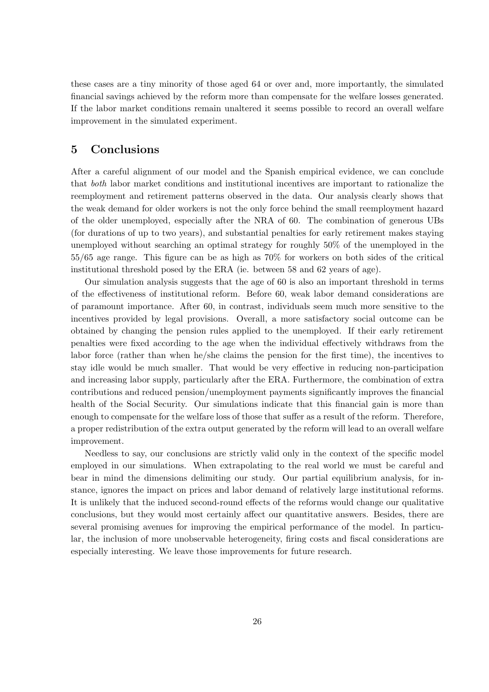these cases are a tiny minority of those aged 64 or over and, more importantly, the simulated financial savings achieved by the reform more than compensate for the welfare losses generated. If the labor market conditions remain unaltered it seems possible to record an overall welfare improvement in the simulated experiment.

# 5 Conclusions

After a careful alignment of our model and the Spanish empirical evidence, we can conclude that both labor market conditions and institutional incentives are important to rationalize the reemployment and retirement patterns observed in the data. Our analysis clearly shows that the weak demand for older workers is not the only force behind the small reemployment hazard of the older unemployed, especially after the NRA of 60. The combination of generous UBs (for durations of up to two years), and substantial penalties for early retirement makes staying unemployed without searching an optimal strategy for roughly 50% of the unemployed in the 55/65 age range. This figure can be as high as 70% for workers on both sides of the critical institutional threshold posed by the ERA (ie. between 58 and 62 years of age).

Our simulation analysis suggests that the age of 60 is also an important threshold in terms of the effectiveness of institutional reform. Before 60, weak labor demand considerations are of paramount importance. After 60, in contrast, individuals seem much more sensitive to the incentives provided by legal provisions. Overall, a more satisfactory social outcome can be obtained by changing the pension rules applied to the unemployed. If their early retirement penalties were fixed according to the age when the individual effectively withdraws from the labor force (rather than when he/she claims the pension for the first time), the incentives to stay idle would be much smaller. That would be very effective in reducing non-participation and increasing labor supply, particularly after the ERA. Furthermore, the combination of extra contributions and reduced pension/unemployment payments significantly improves the financial health of the Social Security. Our simulations indicate that this financial gain is more than enough to compensate for the welfare loss of those that suffer as a result of the reform. Therefore, a proper redistribution of the extra output generated by the reform will lead to an overall welfare improvement.

Needless to say, our conclusions are strictly valid only in the context of the specific model employed in our simulations. When extrapolating to the real world we must be careful and bear in mind the dimensions delimiting our study. Our partial equilibrium analysis, for instance, ignores the impact on prices and labor demand of relatively large institutional reforms. It is unlikely that the induced second-round effects of the reforms would change our qualitative conclusions, but they would most certainly affect our quantitative answers. Besides, there are several promising avenues for improving the empirical performance of the model. In particular, the inclusion of more unobservable heterogeneity, firing costs and fiscal considerations are especially interesting. We leave those improvements for future research.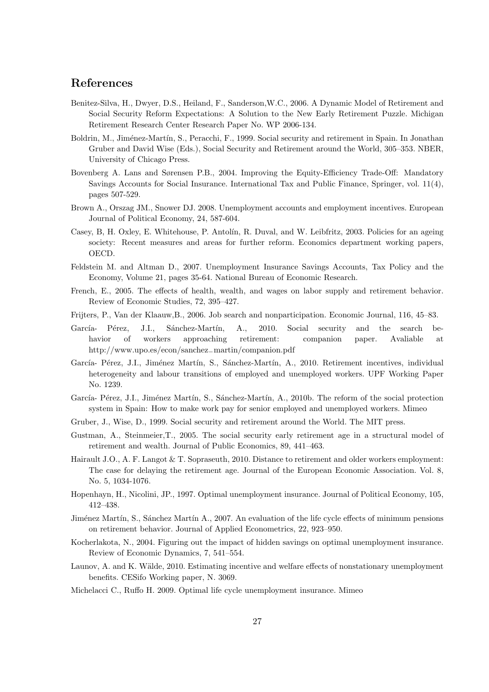# References

- Benitez-Silva, H., Dwyer, D.S., Heiland, F., Sanderson,W.C., 2006. A Dynamic Model of Retirement and Social Security Reform Expectations: A Solution to the New Early Retirement Puzzle. Michigan Retirement Research Center Research Paper No. WP 2006-134.
- Boldrin, M., Jiménez-Martín, S., Peracchi, F., 1999. Social security and retirement in Spain. In Jonathan Gruber and David Wise (Eds.), Social Security and Retirement around the World, 305–353. NBER, University of Chicago Press.
- Bovenberg A. Lans and Sørensen P.B., 2004. Improving the Equity-Efficiency Trade-Off: Mandatory Savings Accounts for Social Insurance. International Tax and Public Finance, Springer, vol. 11(4), pages 507-529.
- Brown A., Orszag JM., Snower DJ. 2008. Unemployment accounts and employment incentives. European Journal of Political Economy, 24, 587-604.
- Casey, B, H. Oxley, E. Whitehouse, P. Antolín, R. Duval, and W. Leibfritz, 2003. Policies for an ageing society: Recent measures and areas for further reform. Economics department working papers, OECD.
- Feldstein M. and Altman D., 2007. Unemployment Insurance Savings Accounts, Tax Policy and the Economy, Volume 21, pages 35-64. National Bureau of Economic Research.
- French, E., 2005. The effects of health, wealth, and wages on labor supply and retirement behavior. Review of Economic Studies, 72, 395–427.
- Frijters, P., Van der Klaauw,B., 2006. Job search and nonparticipation. Economic Journal, 116, 45–83.
- García- Pérez, J.I., Sánchez-Martín, A., 2010. Social security and the search behavior of workers approaching retirement: companion paper. Avaliable at http://www.upo.es/econ/sanchez−martin/companion.pdf
- García- Pérez, J.I., Jiménez Martín, S., Sánchez-Martín, A., 2010. Retirement incentives, individual heterogeneity and labour transitions of employed and unemployed workers. UPF Working Paper No. 1239.
- García- Pérez, J.I., Jiménez Martín, S., Sánchez-Martín, A., 2010b. The reform of the social protection system in Spain: How to make work pay for senior employed and unemployed workers. Mimeo
- Gruber, J., Wise, D., 1999. Social security and retirement around the World. The MIT press.
- Gustman, A., Steinmeier,T., 2005. The social security early retirement age in a structural model of retirement and wealth. Journal of Public Economics, 89, 441–463.
- Hairault J.O., A. F. Langot & T. Sopraseuth, 2010. Distance to retirement and older workers employment: The case for delaying the retirement age. Journal of the European Economic Association. Vol. 8, No. 5, 1034-1076.
- Hopenhayn, H., Nicolini, JP., 1997. Optimal unemployment insurance. Journal of Political Economy, 105, 412–438.
- Jiménez Martín, S., Sánchez Martín A., 2007. An evaluation of the life cycle effects of minimum pensions on retirement behavior. Journal of Applied Econometrics, 22, 923–950.
- Kocherlakota, N., 2004. Figuring out the impact of hidden savings on optimal unemployment insurance. Review of Economic Dynamics, 7, 541–554.
- Launov, A. and K. Wälde, 2010. Estimating incentive and welfare effects of nonstationary unemployment benefits. CESifo Working paper, N. 3069.
- Michelacci C., Ruffo H. 2009. Optimal life cycle unemployment insurance. Mimeo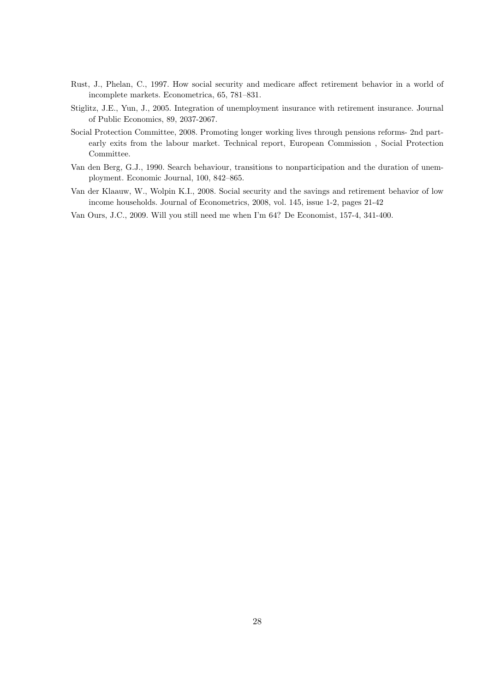- Rust, J., Phelan, C., 1997. How social security and medicare affect retirement behavior in a world of incomplete markets. Econometrica, 65, 781–831.
- Stiglitz, J.E., Yun, J., 2005. Integration of unemployment insurance with retirement insurance. Journal of Public Economics, 89, 2037-2067.
- Social Protection Committee, 2008. Promoting longer working lives through pensions reforms- 2nd partearly exits from the labour market. Technical report, European Commission , Social Protection Committee.
- Van den Berg, G.J., 1990. Search behaviour, transitions to nonparticipation and the duration of unemployment. Economic Journal, 100, 842–865.
- Van der Klaauw, W., Wolpin K.I., 2008. Social security and the savings and retirement behavior of low income households. Journal of Econometrics, 2008, vol. 145, issue 1-2, pages 21-42
- Van Ours, J.C., 2009. Will you still need me when I'm 64? De Economist, 157-4, 341-400.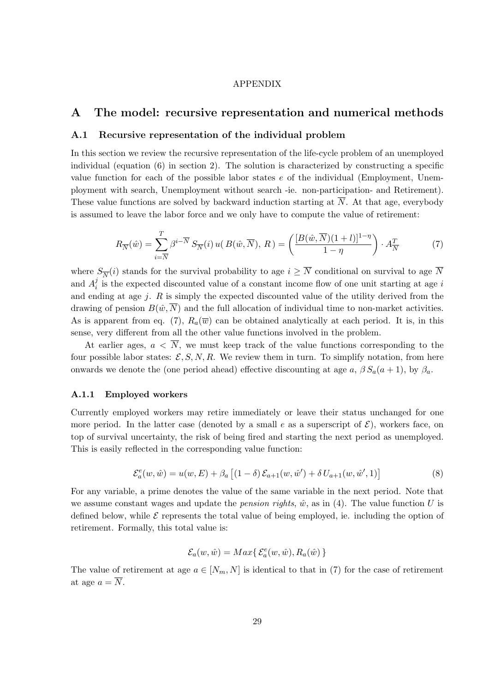#### APPENDIX

## A The model: recursive representation and numerical methods

### A.1 Recursive representation of the individual problem

In this section we review the recursive representation of the life-cycle problem of an unemployed individual (equation (6) in section 2). The solution is characterized by constructing a specific value function for each of the possible labor states e of the individual (Employment, Unemployment with search, Unemployment without search -ie. non-participation- and Retirement). These value functions are solved by backward induction starting at  $\overline{N}$ . At that age, everybody is assumed to leave the labor force and we only have to compute the value of retirement:

$$
R_{\overline{N}}(\hat{w}) = \sum_{i=\overline{N}}^{T} \beta^{i-\overline{N}} S_{\overline{N}}(i) u(B(\hat{w}, \overline{N}), R) = \left( \frac{[B(\hat{w}, \overline{N})(1+l)]^{1-\eta}}{1-\eta} \right) \cdot A_{\overline{N}}^{T}
$$
(7)

where  $S_{\overline{N}}(i)$  stands for the survival probability to age  $i \geq \overline{N}$  conditional on survival to age  $\overline{N}$ and  $A_i^j$  $i<sub>i</sub>$  is the expected discounted value of a constant income flow of one unit starting at age i and ending at age  $j$ .  $R$  is simply the expected discounted value of the utility derived from the drawing of pension  $B(\hat{w}, \overline{N})$  and the full allocation of individual time to non-market activities. As is apparent from eq. (7),  $R_a(\overline{w})$  can be obtained analytically at each period. It is, in this sense, very different from all the other value functions involved in the problem.

At earlier ages,  $a < \overline{N}$ , we must keep track of the value functions corresponding to the four possible labor states:  $\mathcal{E}, S, N, R$ . We review them in turn. To simplify notation, from here onwards we denote the (one period ahead) effective discounting at age a,  $\beta S_a(a+1)$ , by  $\beta_a$ .

#### A.1.1 Employed workers

Currently employed workers may retire immediately or leave their status unchanged for one more period. In the latter case (denoted by a small e as a superscript of  $\mathcal{E}$ ), workers face, on top of survival uncertainty, the risk of being fired and starting the next period as unemployed. This is easily reflected in the corresponding value function:

$$
\mathcal{E}_{a}^{e}(w, \hat{w}) = u(w, E) + \beta_{a} \left[ (1 - \delta) \mathcal{E}_{a+1}(w, \hat{w}') + \delta U_{a+1}(w, \hat{w}', 1) \right]
$$
(8)

For any variable, a prime denotes the value of the same variable in the next period. Note that we assume constant wages and update the *pension rights*,  $\hat{w}$ , as in (4). The value function U is defined below, while  $\mathcal E$  represents the total value of being employed, ie. including the option of retirement. Formally, this total value is:

$$
\mathcal{E}_a(w,\hat{w}) = Max\{\mathcal{E}_a^e(w,\hat{w}), R_a(\hat{w})\}
$$

The value of retirement at age  $a \in [N_m, N]$  is identical to that in (7) for the case of retirement at age  $a = \overline{N}$ .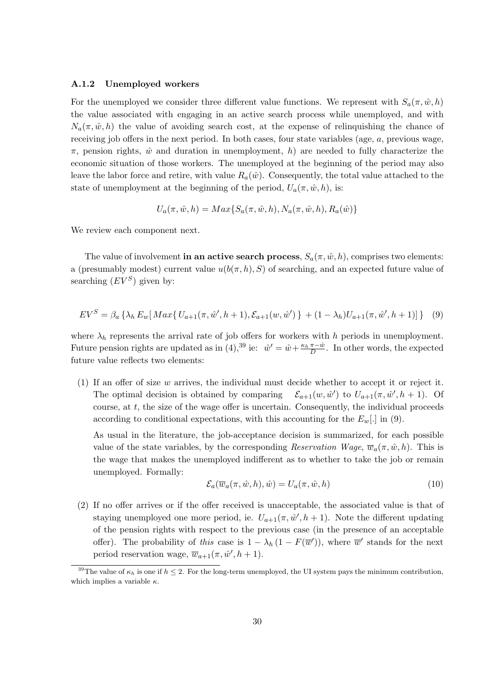#### A.1.2 Unemployed workers

For the unemployed we consider three different value functions. We represent with  $S_a(\pi, \hat{w}, h)$ the value associated with engaging in an active search process while unemployed, and with  $N_a(\pi, \hat{w}, h)$  the value of avoiding search cost, at the expense of relinquishing the chance of receiving job offers in the next period. In both cases, four state variables (age, a, previous wage,  $\pi$ , pension rights,  $\hat{w}$  and duration in unemployment, h) are needed to fully characterize the economic situation of those workers. The unemployed at the beginning of the period may also leave the labor force and retire, with value  $R_a(\hat{w})$ . Consequently, the total value attached to the state of unemployment at the beginning of the period,  $U_a(\pi, \hat{w}, h)$ , is:

$$
U_a(\pi, \hat{w}, h) = Max\{S_a(\pi, \hat{w}, h), N_a(\pi, \hat{w}, h), R_a(\hat{w})\}
$$

We review each component next.

The value of involvement in an active search process,  $S_a(\pi, \hat{w}, h)$ , comprises two elements: a (presumably modest) current value  $u(b(\pi, h), S)$  of searching, and an expected future value of searching  $(EV^S)$  given by:

$$
EV^{S} = \beta_{a} \left\{ \lambda_{h} E_{w} \left[ \operatorname{Max} \{ U_{a+1}(\pi, \hat{w}', h+1), \mathcal{E}_{a+1}(w, \hat{w}') \} + (1 - \lambda_{h}) U_{a+1}(\pi, \hat{w}', h+1) \right] \right\} \tag{9}
$$

where  $\lambda_h$  represents the arrival rate of job offers for workers with h periods in unemployment. Future pension rights are updated as in (4),<sup>39</sup> ie:  $\hat{w}' = \hat{w} + \frac{\kappa_h \pi - \hat{w}}{D}$ . In other words, the expected future value reflects two elements:

(1) If an offer of size w arrives, the individual must decide whether to accept it or reject it. The optimal decision is obtained by comparing ') to  $U_{a+1}(\pi, \hat{w}', h+1)$ . Of course, at  $t$ , the size of the wage offer is uncertain. Consequently, the individual proceeds according to conditional expectations, with this accounting for the  $E_w$ . in (9).

As usual in the literature, the job-acceptance decision is summarized, for each possible value of the state variables, by the corresponding Reservation Wage,  $\overline{w}_a(\pi, \hat{w}, h)$ . This is the wage that makes the unemployed indifferent as to whether to take the job or remain unemployed. Formally:

$$
\mathcal{E}_a(\overline{w}_a(\pi, \hat{w}, h), \hat{w}) = U_a(\pi, \hat{w}, h)
$$
\n(10)

(2) If no offer arrives or if the offer received is unacceptable, the associated value is that of staying unemployed one more period, ie.  $U_{a+1}(\pi, \hat{w}', h+1)$ . Note the different updating of the pension rights with respect to the previous case (in the presence of an acceptable offer). The probability of this case is  $1 - \lambda_h (1 - F(\overline{w}'))$ , where  $\overline{w}'$  stands for the next period reservation wage,  $\overline{w}_{a+1}(\pi, \hat{w}', h+1)$ .

<sup>&</sup>lt;sup>39</sup>The value of  $\kappa_h$  is one if  $h \leq 2$ . For the long-term unemployed, the UI system pays the minimum contribution, which implies a variable  $\kappa$ .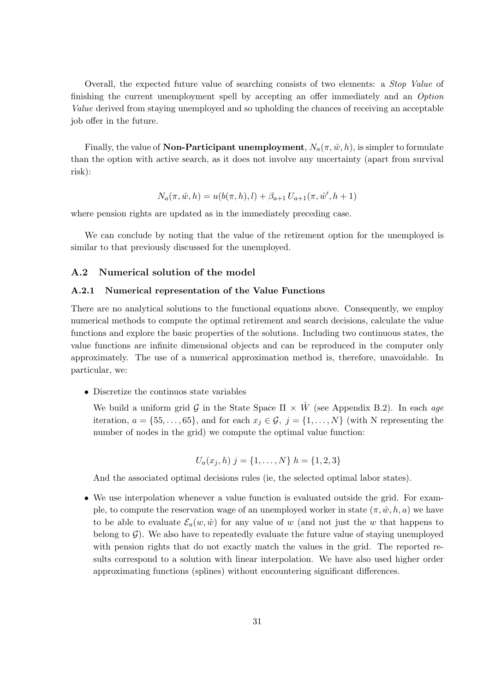Overall, the expected future value of searching consists of two elements: a Stop Value of finishing the current unemployment spell by accepting an offer immediately and an Option Value derived from staying unemployed and so upholding the chances of receiving an acceptable job offer in the future.

Finally, the value of **Non-Participant unemployment**,  $N_a(\pi, \hat{w}, h)$ , is simpler to formulate than the option with active search, as it does not involve any uncertainty (apart from survival risk):

$$
N_a(\pi, \hat{w}, h) = u(b(\pi, h), l) + \beta_{a+1} U_{a+1}(\pi, \hat{w}', h+1)
$$

where pension rights are updated as in the immediately preceding case.

We can conclude by noting that the value of the retirement option for the unemployed is similar to that previously discussed for the unemployed.

### A.2 Numerical solution of the model

#### A.2.1 Numerical representation of the Value Functions

There are no analytical solutions to the functional equations above. Consequently, we employ numerical methods to compute the optimal retirement and search decisions, calculate the value functions and explore the basic properties of the solutions. Including two continuous states, the value functions are infinite dimensional objects and can be reproduced in the computer only approximately. The use of a numerical approximation method is, therefore, unavoidable. In particular, we:

• Discretize the continuos state variables

We build a uniform grid G in the State Space  $\Pi \times \hat{W}$  (see Appendix B.2). In each age iteration,  $a = \{55, \ldots, 65\}$ , and for each  $x_j \in \mathcal{G}, j = \{1, \ldots, N\}$  (with N representing the number of nodes in the grid) we compute the optimal value function:

$$
U_a(x_j, h) \; j = \{1, \dots, N\} \; h = \{1, 2, 3\}
$$

And the associated optimal decisions rules (ie, the selected optimal labor states).

• We use interpolation whenever a value function is evaluated outside the grid. For example, to compute the reservation wage of an unemployed worker in state  $(\pi, \hat{w}, h, a)$  we have to be able to evaluate  $\mathcal{E}_a(w, \hat{w})$  for any value of w (and not just the w that happens to belong to  $\mathcal{G}$ ). We also have to repeatedly evaluate the future value of staying unemployed with pension rights that do not exactly match the values in the grid. The reported results correspond to a solution with linear interpolation. We have also used higher order approximating functions (splines) without encountering significant differences.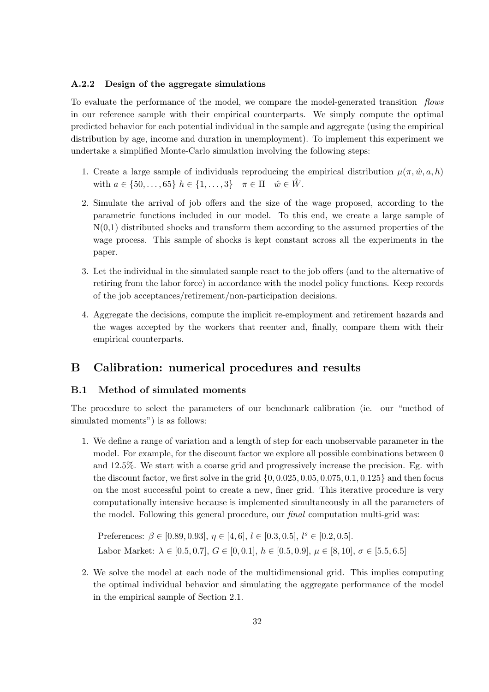### A.2.2 Design of the aggregate simulations

To evaluate the performance of the model, we compare the model-generated transition flows in our reference sample with their empirical counterparts. We simply compute the optimal predicted behavior for each potential individual in the sample and aggregate (using the empirical distribution by age, income and duration in unemployment). To implement this experiment we undertake a simplified Monte-Carlo simulation involving the following steps:

- 1. Create a large sample of individuals reproducing the empirical distribution  $\mu(\pi, \hat{w}, a, h)$ with  $a \in \{50, \ldots, 65\}$   $h \in \{1, \ldots, 3\}$   $\pi \in \Pi$   $\hat{w} \in \hat{W}$ .
- 2. Simulate the arrival of job offers and the size of the wage proposed, according to the parametric functions included in our model. To this end, we create a large sample of  $N(0,1)$  distributed shocks and transform them according to the assumed properties of the wage process. This sample of shocks is kept constant across all the experiments in the paper.
- 3. Let the individual in the simulated sample react to the job offers (and to the alternative of retiring from the labor force) in accordance with the model policy functions. Keep records of the job acceptances/retirement/non-participation decisions.
- 4. Aggregate the decisions, compute the implicit re-employment and retirement hazards and the wages accepted by the workers that reenter and, finally, compare them with their empirical counterparts.

# B Calibration: numerical procedures and results

### B.1 Method of simulated moments

The procedure to select the parameters of our benchmark calibration (ie. our "method of simulated moments") is as follows:

1. We define a range of variation and a length of step for each unobservable parameter in the model. For example, for the discount factor we explore all possible combinations between 0 and 12.5%. We start with a coarse grid and progressively increase the precision. Eg. with the discount factor, we first solve in the grid  $\{0, 0.025, 0.05, 0.075, 0.1, 0.125\}$  and then focus on the most successful point to create a new, finer grid. This iterative procedure is very computationally intensive because is implemented simultaneously in all the parameters of the model. Following this general procedure, our final computation multi-grid was:

Preferences:  $\beta \in [0.89, 0.93], \eta \in [4, 6], l \in [0.3, 0.5], l^s \in [0.2, 0.5].$ Labor Market:  $\lambda \in [0.5, 0.7], G \in [0, 0.1], h \in [0.5, 0.9], \mu \in [8, 10], \sigma \in [5.5, 6.5]$ 

2. We solve the model at each node of the multidimensional grid. This implies computing the optimal individual behavior and simulating the aggregate performance of the model in the empirical sample of Section 2.1.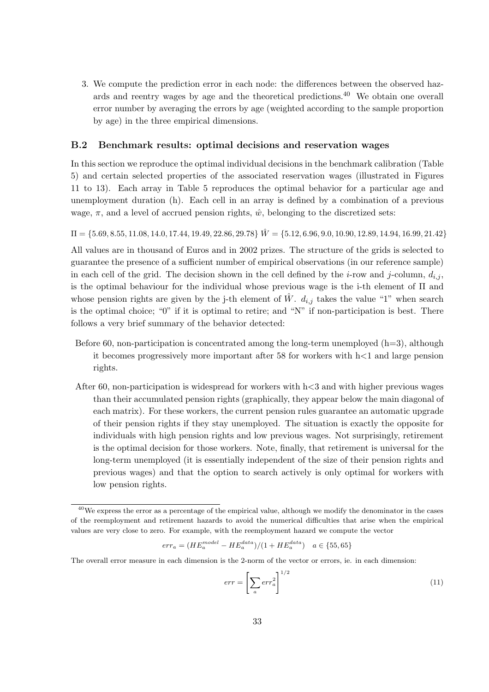3. We compute the prediction error in each node: the differences between the observed hazards and reentry wages by age and the theoretical predictions.<sup>40</sup> We obtain one overall error number by averaging the errors by age (weighted according to the sample proportion by age) in the three empirical dimensions.

### B.2 Benchmark results: optimal decisions and reservation wages

In this section we reproduce the optimal individual decisions in the benchmark calibration (Table 5) and certain selected properties of the associated reservation wages (illustrated in Figures 11 to 13). Each array in Table 5 reproduces the optimal behavior for a particular age and unemployment duration (h). Each cell in an array is defined by a combination of a previous wage,  $\pi$ , and a level of accrued pension rights,  $\hat{w}$ , belonging to the discretized sets:

 $\Pi = \{5.69, 8.55, 11.08, 14.0, 17.44, 19.49, 22.86, 29.78\}$   $\hat{W} = \{5.12, 6.96, 9.0, 10.90, 12.89, 14.94, 16.99, 21.42\}$ 

All values are in thousand of Euros and in 2002 prizes. The structure of the grids is selected to guarantee the presence of a sufficient number of empirical observations (in our reference sample) in each cell of the grid. The decision shown in the cell defined by the *i*-row and *j*-column,  $d_{i,j}$ , is the optimal behaviour for the individual whose previous wage is the i-th element of Π and whose pension rights are given by the j-th element of  $\hat{W}$ .  $d_{i,j}$  takes the value "1" when search is the optimal choice; "0" if it is optimal to retire; and "N" if non-participation is best. There follows a very brief summary of the behavior detected:

- Before 60, non-participation is concentrated among the long-term unemployed  $(h=3)$ , although it becomes progressively more important after 58 for workers with  $h \leq 1$  and large pension rights.
- After 60, non-participation is widespread for workers with  $h < 3$  and with higher previous wages than their accumulated pension rights (graphically, they appear below the main diagonal of each matrix). For these workers, the current pension rules guarantee an automatic upgrade of their pension rights if they stay unemployed. The situation is exactly the opposite for individuals with high pension rights and low previous wages. Not surprisingly, retirement is the optimal decision for those workers. Note, finally, that retirement is universal for the long-term unemployed (it is essentially independent of the size of their pension rights and previous wages) and that the option to search actively is only optimal for workers with low pension rights.

$$
err_a = (HE^{model}_a - HE^{data}_a)/(1 + HE^{data}_a) \quad a \in \{55, 65\}
$$

The overall error measure in each dimension is the 2-norm of the vector or errors, ie. in each dimension:

$$
err = \left[\sum_{a} err_{a}^{2}\right]^{1/2} \tag{11}
$$

<sup>&</sup>lt;sup>40</sup>We express the error as a percentage of the empirical value, although we modify the denominator in the cases of the reemployment and retirement hazards to avoid the numerical difficulties that arise when the empirical values are very close to zero. For example, with the reemployment hazard we compute the vector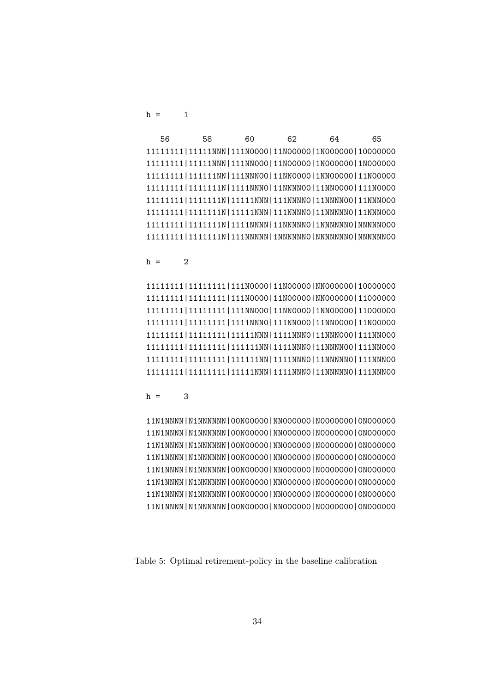$h = 1$ 

| 56 | 58 | 60 | 62                                                                | 64 | 65 |
|----|----|----|-------------------------------------------------------------------|----|----|
|    |    |    | 11111111 11111NNN 111N0000 11N00000 1N000000 10000000             |    |    |
|    |    |    | 11111111 11111NNN 111NN000 11N00000 1N000000 1N000000             |    |    |
|    |    |    | 11111111 1111111NN 111NNN00 11NN0000 1NN00000 11N00000            |    |    |
|    |    |    | 11111111   11111111N   1111NNNO   11NNNNOO   11NNOOOO   111NOOOO  |    |    |
|    |    |    | 11111111   11111111N   11111NNN   111NNNN0   11NNNN00   11NNN000  |    |    |
|    |    |    | 11111111   11111111N   11111NNN   111NNNN0   11NNNNN0   11NNN000  |    |    |
|    |    |    | 11111111 111111111  11111N 1111NNN  11NNNNNO 1NNNNNO NNNNNOOO     |    |    |
|    |    |    | 11111111   11111111N   111NNNNN   1NNNNNNO   NNNNNNNO   NNNNNNNOO |    |    |

 $h = 2$ 

11111111|11111111|111N0000|11N00000|NN000000|10000000 11111111|11111111|111N0000|11N00000|NN000000|11000000 11111111|11111111|111NN000|11NN0000|1NN00000|11000000 11111111|11111111|1111NNN0|111NN000|11NN0000|11N00000 11111111|11111111|11111NNN|1111NNN0|11NNN000|111NN000 11111111|11111111|111111NN|1111NNN0|11NNNN00|111NN000 11111111|11111111|111111NN|1111NNN0|11NNNNN0|111NNN00 11111111|11111111|11111NNN|1111NNN0|11NNNNN0|111NNN00

 $h = 3$ 

11N1NNNN|N1NNNNNN|00N00000|NN000000|N0000000|0N000000 11N1NNNN|N1NNNNNN|00N00000|NN000000|N0000000|0N000000 11N1NNNN|N1NNNNNN|00N00000|NN000000|N0000000|0N000000 11N1NNNN|N1NNNNNN|00N00000|NN000000|N0000000|0N000000 11N1NNNN|N1NNNNNN|00N00000|NN000000|N0000000|0N000000 11N1NNNN|N1NNNNNN|00N00000|NN000000|N0000000|0N000000 11N1NNNN|N1NNNNNN|00N00000|NN000000|N0000000|0N000000 11N1NNNN|N1NNNNNN|00N00000|NN000000|N0000000|0N000000

Table 5: Optimal retirement-policy in the baseline calibration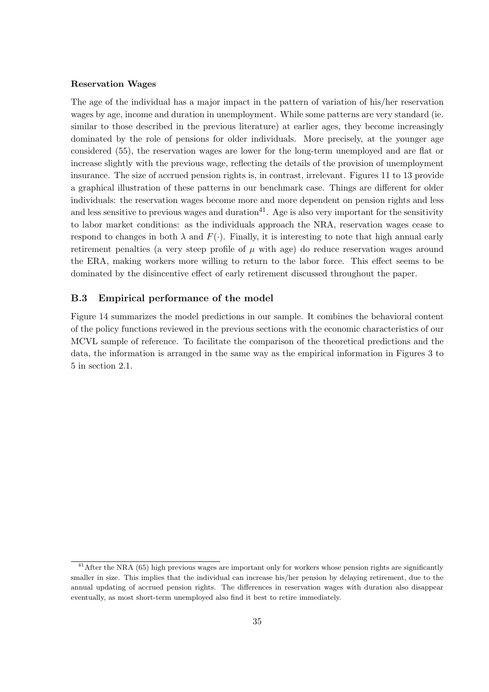### Reservation Wages

The age of the individual has a major impact in the pattern of variation of his/her reservation wages by age, income and duration in unemployment. While some patterns are very standard (ie. similar to those described in the previous literature) at earlier ages, they become increasingly dominated by the role of pensions for older individuals. More precisely, at the younger age considered (55), the reservation wages are lower for the long-term unemployed and are flat or increase slightly with the previous wage, reflecting the details of the provision of unemployment insurance. The size of accrued pension rights is, in contrast, irrelevant. Figures 11 to 13 provide a graphical illustration of these patterns in our benchmark case. Things are different for older individuals: the reservation wages become more and more dependent on pension rights and less and less sensitive to previous wages and duration<sup>41</sup>. Age is also very important for the sensitivity to labor market conditions: as the individuals approach the NRA, reservation wages cease to respond to changes in both  $\lambda$  and  $F(\cdot)$ . Finally, it is interesting to note that high annual early retirement penalties (a very steep profile of  $\mu$  with age) do reduce reservation wages around the ERA, making workers more willing to return to the labor force. This effect seems to be dominated by the disincentive effect of early retirement discussed throughout the paper.

### B.3 Empirical performance of the model

Figure 14 summarizes the model predictions in our sample. It combines the behavioral content of the policy functions reviewed in the previous sections with the economic characteristics of our MCVL sample of reference. To facilitate the comparison of the theoretical predictions and the data, the information is arranged in the same way as the empirical information in Figures 3 to 5 in section 2.1.

<sup>&</sup>lt;sup>41</sup> After the NRA (65) high previous wages are important only for workers whose pension rights are significantly smaller in size. This implies that the individual can increase his/her pension by delaying retirement, due to the annual updating of accrued pension rights. The differences in reservation wages with duration also disappear eventually, as most short-term unemployed also find it best to retire immediately.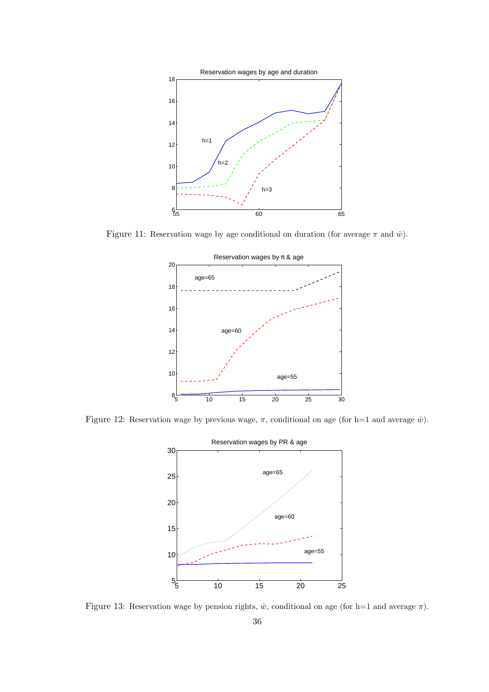

Figure 11: Reservation wage by age conditional on duration (for average  $\pi$  and  $\hat{w}$ ).



Figure 12: Reservation wage by previous wage,  $\pi$ , conditional on age (for h=1 and average  $\hat{w}$ ).



Figure 13: Reservation wage by pension rights,  $\hat{w}$ , conditional on age (for h=1 and average  $\pi$ ).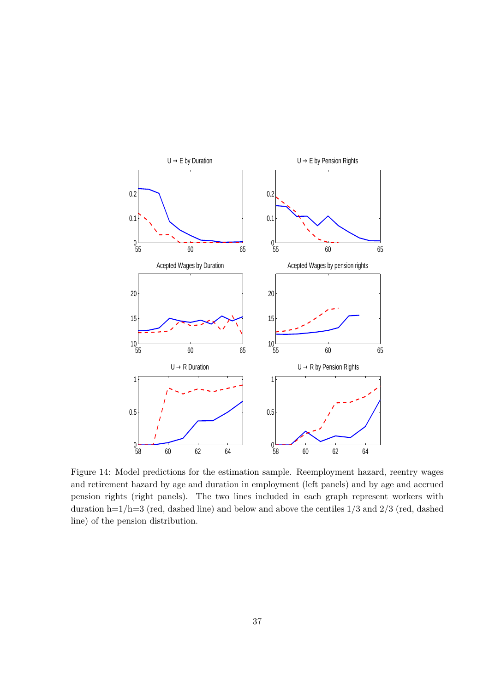

Figure 14: Model predictions for the estimation sample. Reemployment hazard, reentry wages and retirement hazard by age and duration in employment (left panels) and by age and accrued pension rights (right panels). The two lines included in each graph represent workers with duration h= $1/h=3$  (red, dashed line) and below and above the centiles  $1/3$  and  $2/3$  (red, dashed line) of the pension distribution.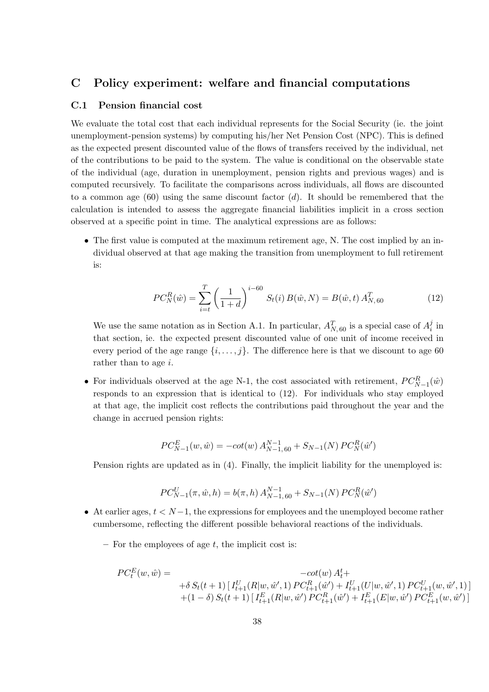# C Policy experiment: welfare and financial computations

### C.1 Pension financial cost

We evaluate the total cost that each individual represents for the Social Security (ie. the joint unemployment-pension systems) by computing his/her Net Pension Cost (NPC). This is defined as the expected present discounted value of the flows of transfers received by the individual, net of the contributions to be paid to the system. The value is conditional on the observable state of the individual (age, duration in unemployment, pension rights and previous wages) and is computed recursively. To facilitate the comparisons across individuals, all flows are discounted to a common age  $(60)$  using the same discount factor  $(d)$ . It should be remembered that the calculation is intended to assess the aggregate financial liabilities implicit in a cross section observed at a specific point in time. The analytical expressions are as follows:

• The first value is computed at the maximum retirement age, N. The cost implied by an individual observed at that age making the transition from unemployment to full retirement is:

$$
PC_N^R(\hat{w}) = \sum_{i=t}^T \left(\frac{1}{1+d}\right)^{i-60} S_t(i) B(\hat{w}, N) = B(\hat{w}, t) A_{N,60}^T
$$
 (12)

We use the same notation as in Section A.1. In particular,  $A_{N,60}^T$  is a special case of  $A_i^j$  $\frac{j}{i}$  in that section, ie. the expected present discounted value of one unit of income received in every period of the age range  $\{i, \ldots, j\}$ . The difference here is that we discount to age 60 rather than to age i.

• For individuals observed at the age N-1, the cost associated with retirement,  $PC_{N-1}^{R}(\hat{w})$ responds to an expression that is identical to (12). For individuals who stay employed at that age, the implicit cost reflects the contributions paid throughout the year and the change in accrued pension rights:

$$
PC_{N-1}^{E}(w, \hat{w}) = -\cot(w) A_{N-1, 60}^{N-1} + S_{N-1}(N) PC_N^{R}(\hat{w}')
$$

Pension rights are updated as in (4). Finally, the implicit liability for the unemployed is:

$$
PC_{N-1}^U(\pi, \hat{w}, h) = b(\pi, h) A_{N-1, 60}^{N-1} + S_{N-1}(N) PC_N^R(\hat{w}')
$$

- At earlier ages,  $t < N-1$ , the expressions for employees and the unemployed become rather cumbersome, reflecting the different possible behavioral reactions of the individuals.
	- $-$  For the employees of age t, the implicit cost is:

$$
PC_{t}^{E}(w, \hat{w}) = -\cot(w) A_{t}^{t} +
$$
  
+ $\delta S_{t}(t+1) [I_{t+1}^{U}(R|w, \hat{w}', 1) PC_{t+1}^{R}(\hat{w}') + I_{t+1}^{U}(U|w, \hat{w}', 1) PC_{t+1}^{U}(w, \hat{w}', 1)]$   
+ $(1 - \delta) S_{t}(t+1) [I_{t+1}^{E}(R|w, \hat{w}') PC_{t+1}^{R}(\hat{w}') + I_{t+1}^{E}(E|w, \hat{w}') PC_{t+1}^{E}(w, \hat{w}')]$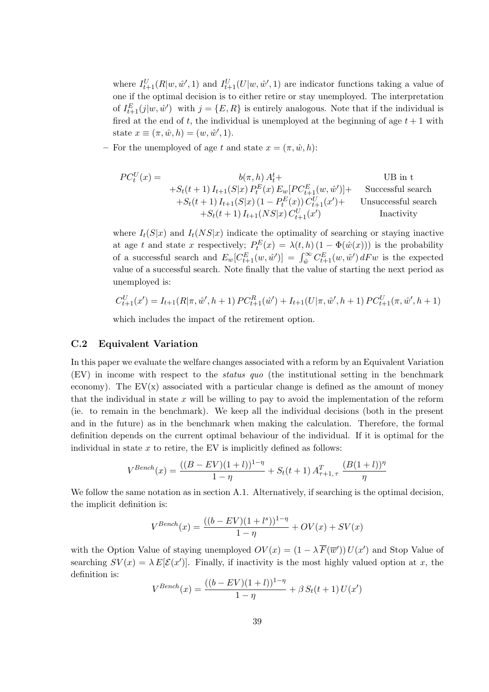where  $I_{t+1}^U(R|w, \hat{w}', 1)$  and  $I_{t+1}^U(U|w, \hat{w}', 1)$  are indicator functions taking a value of one if the optimal decision is to either retire or stay unemployed. The interpretation of  $I_{t+1}^E(j|w, \hat{w}')$  with  $j = \{E, R\}$  is entirely analogous. Note that if the individual is fired at the end of t, the individual is unemployed at the beginning of age  $t + 1$  with state  $x \equiv (\pi, \hat{w}, h) = (w, \hat{w}', 1)$ .

– For the unemployed of age t and state  $x = (\pi, \hat{w}, h)$ :

P C<sup>U</sup> t (x) = b(π, h) A<sup>t</sup> <sup>t</sup>+ UB in t +St(t + 1) It+1(S|x) P E t (x) Ew[P C<sup>E</sup> <sup>t</sup>+1(w, wˆ 0 )]+ Successful search +St(t + 1) It+1(S|x) (1 − P E t (x)) C U <sup>t</sup>+1(x 0 )+ Unsuccessful search +St(t + 1) It+1(NS|x) C U <sup>t</sup>+1(x 0 ) Inactivity

where  $I_t(S|x)$  and  $I_t(NS|x)$  indicate the optimality of searching or staying inactive at age t and state x respectively;  $P_t^E(x) = \lambda(t, h) (1 - \Phi(\hat{w}(x)))$  is the probability at age t and state x respectively,  $I_t(x) = \lambda(t, h)(1 - \Psi(w(x)))$  is the probability<br>of a successful search and  $E_w[C_{t+1}^E(w, \hat{w}')] = \int_{\hat{w}}^{\infty} C_{t+1}^E(w, \hat{w}') dF w$  is the expected value of a successful search. Note finally that the value of starting the next period as unemployed is:

$$
C_{t+1}^U(x') = I_{t+1}(R|\pi, \hat{w}', h+1) PC_{t+1}^R(\hat{w}') + I_{t+1}(U|\pi, \hat{w}', h+1) PC_{t+1}^U(\pi, \hat{w}', h+1)
$$

which includes the impact of the retirement option.

### C.2 Equivalent Variation

In this paper we evaluate the welfare changes associated with a reform by an Equivalent Variation (EV) in income with respect to the status quo (the institutional setting in the benchmark economy). The  $EV(x)$  associated with a particular change is defined as the amount of money that the individual in state  $x$  will be willing to pay to avoid the implementation of the reform (ie. to remain in the benchmark). We keep all the individual decisions (both in the present and in the future) as in the benchmark when making the calculation. Therefore, the formal definition depends on the current optimal behaviour of the individual. If it is optimal for the individual in state  $x$  to retire, the EV is implicitly defined as follows:

$$
V^{Bench}(x) = \frac{((B - EV)(1 + l))^{1 - \eta}}{1 - \eta} + S_t(t + 1) A_{\tau+1,\tau}^T \frac{(B(1 + l))^{\eta}}{\eta}
$$

We follow the same notation as in section A.1. Alternatively, if searching is the optimal decision, the implicit definition is:

$$
V^{Bench}(x) = \frac{((b - EV)(1 + l^s))^{1 - \eta}}{1 - \eta} + OV(x) + SV(x)
$$

with the Option Value of staying unemployed  $OV(x) = (1 - \lambda \overline{F}(\overline{w}')) U(x')$  and Stop Value of searching  $SV(x) = \lambda E[\mathcal{E}(x')]$ . Finally, if inactivity is the most highly valued option at x, the definition is:

$$
V^{Bench}(x) = \frac{((b - EV)(1 + l))^{1 - \eta}}{1 - \eta} + \beta S_t(t + 1) U(x')
$$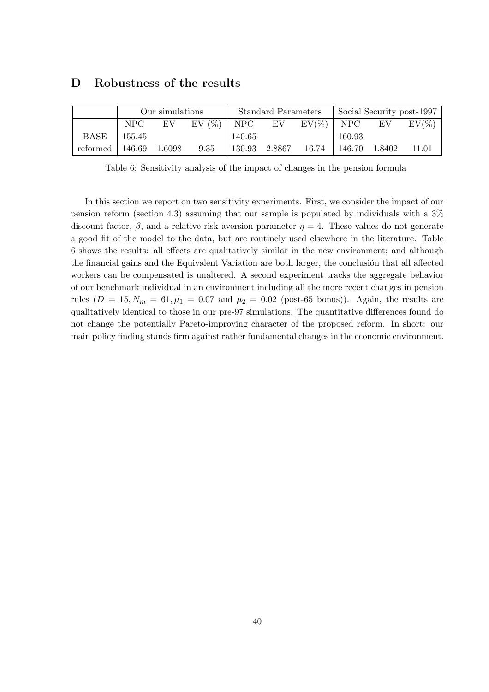|                            | Our simulations |  |                                      | <b>Standard Parameters</b> |  |                                   | Social Security post-1997 |  |          |
|----------------------------|-----------------|--|--------------------------------------|----------------------------|--|-----------------------------------|---------------------------|--|----------|
|                            | NPC             |  | EV EV $(\%)$ NPC EV EV $(\%)$ NPC EV |                            |  |                                   |                           |  | $EV(\%)$ |
| BASE   155.45              |                 |  |                                      | 140.65                     |  |                                   | 160.93                    |  |          |
| reformed   $146.69$ 1.6098 |                 |  | 9.35                                 |                            |  | 130.93 2.8867 16.74 146.70 1.8402 |                           |  | 11.01    |

# D Robustness of the results

Table 6: Sensitivity analysis of the impact of changes in the pension formula

In this section we report on two sensitivity experiments. First, we consider the impact of our pension reform (section 4.3) assuming that our sample is populated by individuals with a 3% discount factor,  $\beta$ , and a relative risk aversion parameter  $\eta = 4$ . These values do not generate a good fit of the model to the data, but are routinely used elsewhere in the literature. Table 6 shows the results: all effects are qualitatively similar in the new environment; and although the financial gains and the Equivalent Variation are both larger, the conclusion that all affected workers can be compensated is unaltered. A second experiment tracks the aggregate behavior of our benchmark individual in an environment including all the more recent changes in pension rules  $(D = 15, N_m = 61, \mu_1 = 0.07 \text{ and } \mu_2 = 0.02 \text{ (post-65 bonus)}$ . Again, the results are qualitatively identical to those in our pre-97 simulations. The quantitative differences found do not change the potentially Pareto-improving character of the proposed reform. In short: our main policy finding stands firm against rather fundamental changes in the economic environment.